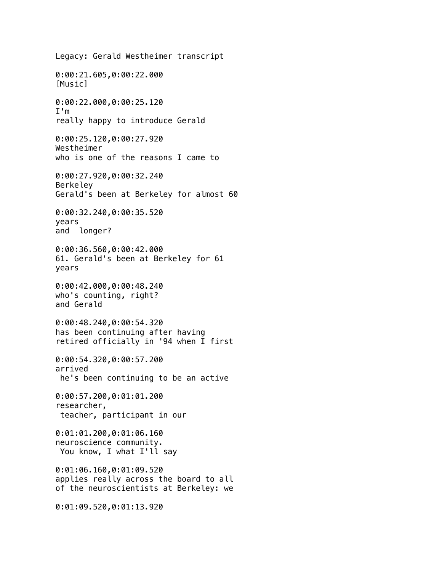Legacy: Gerald Westheimer transcript 0:00:21.605,0:00:22.000 [Music] 0:00:22.000,0:00:25.120 I'm really happy to introduce Gerald 0:00:25.120,0:00:27.920 Westheimer who is one of the reasons I came to 0:00:27.920,0:00:32.240 Berkeley Gerald's been at Berkeley for almost 60 0:00:32.240,0:00:35.520 years and longer? 0:00:36.560,0:00:42.000 61. Gerald's been at Berkeley for 61 years 0:00:42.000,0:00:48.240 who's counting, right? and Gerald 0:00:48.240,0:00:54.320 has been continuing after having retired officially in '94 when I first 0:00:54.320,0:00:57.200 arrived he's been continuing to be an active 0:00:57.200,0:01:01.200 researcher, teacher, participant in our 0:01:01.200,0:01:06.160 neuroscience community. You know, I what I'll say 0:01:06.160,0:01:09.520 applies really across the board to all of the neuroscientists at Berkeley: we 0:01:09.520,0:01:13.920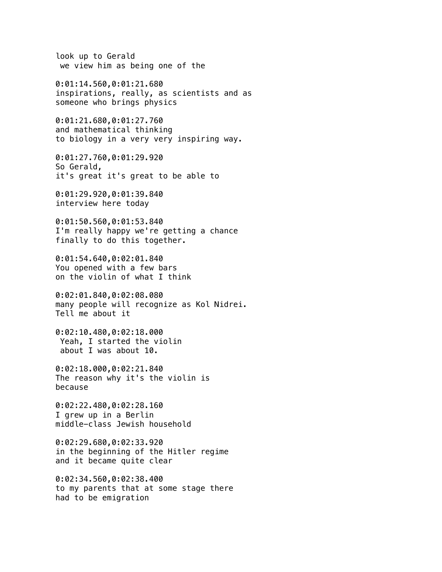look up to Gerald we view him as being one of the

0:01:14.560,0:01:21.680 inspirations, really, as scientists and as someone who brings physics

0:01:21.680,0:01:27.760 and mathematical thinking to biology in a very very inspiring way.

0:01:27.760,0:01:29.920 So Gerald, it's great it's great to be able to

0:01:29.920,0:01:39.840 interview here today

0:01:50.560,0:01:53.840 I'm really happy we're getting a chance finally to do this together.

0:01:54.640,0:02:01.840 You opened with a few bars on the violin of what I think

0:02:01.840,0:02:08.080 many people will recognize as Kol Nidrei. Tell me about it

0:02:10.480,0:02:18.000 Yeah, I started the violin about I was about 10.

0:02:18.000,0:02:21.840 The reason why it's the violin is because

0:02:22.480,0:02:28.160 I grew up in a Berlin middle-class Jewish household

0:02:29.680,0:02:33.920 in the beginning of the Hitler regime and it became quite clear

0:02:34.560,0:02:38.400 to my parents that at some stage there had to be emigration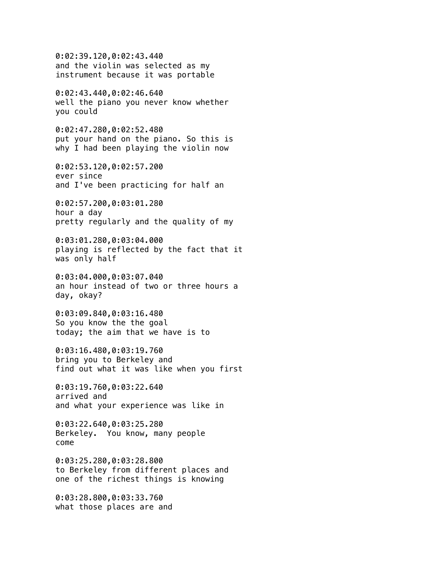0:02:39.120,0:02:43.440 and the violin was selected as my instrument because it was portable 0:02:43.440,0:02:46.640 well the piano you never know whether you could 0:02:47.280,0:02:52.480 put your hand on the piano. So this is why I had been playing the violin now 0:02:53.120,0:02:57.200 ever since and I've been practicing for half an 0:02:57.200,0:03:01.280 hour a day pretty regularly and the quality of my 0:03:01.280,0:03:04.000 playing is reflected by the fact that it was only half 0:03:04.000,0:03:07.040 an hour instead of two or three hours a day, okay? 0:03:09.840,0:03:16.480 So you know the the goal today; the aim that we have is to 0:03:16.480,0:03:19.760 bring you to Berkeley and find out what it was like when you first 0:03:19.760,0:03:22.640 arrived and and what your experience was like in 0:03:22.640,0:03:25.280 Berkeley. You know, many people come 0:03:25.280,0:03:28.800 to Berkeley from different places and one of the richest things is knowing 0:03:28.800,0:03:33.760 what those places are and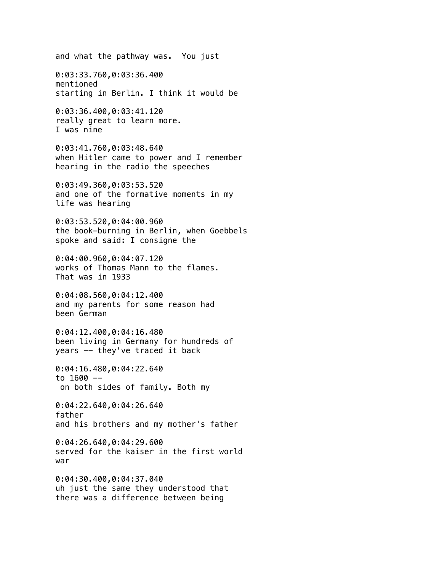and what the pathway was. You just 0:03:33.760,0:03:36.400 mentioned starting in Berlin. I think it would be 0:03:36.400,0:03:41.120 really great to learn more. I was nine 0:03:41.760,0:03:48.640 when Hitler came to power and I remember hearing in the radio the speeches 0:03:49.360,0:03:53.520 and one of the formative moments in my life was hearing 0:03:53.520,0:04:00.960 the book-burning in Berlin, when Goebbels spoke and said: I consigne the 0:04:00.960,0:04:07.120 works of Thomas Mann to the flames. That was in 1933 0:04:08.560,0:04:12.400 and my parents for some reason had been German 0:04:12.400,0:04:16.480 been living in Germany for hundreds of years -- they've traced it back 0:04:16.480,0:04:22.640 to  $1600$  on both sides of family. Both my 0:04:22.640,0:04:26.640 father and his brothers and my mother's father 0:04:26.640,0:04:29.600 served for the kaiser in the first world war 0:04:30.400,0:04:37.040 uh just the same they understood that there was a difference between being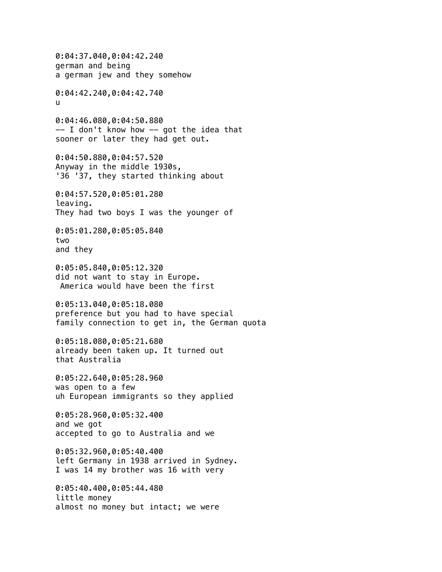0:04:37.040,0:04:42.240 german and being a german jew and they somehow 0:04:42.240,0:04:42.740 u 0:04:46.080,0:04:50.880  $--$  I don't know how  $--$  got the idea that sooner or later they had get out. 0:04:50.880,0:04:57.520 Anyway in the middle 1930s, '36 '37, they started thinking about 0:04:57.520,0:05:01.280 leaving. They had two boys I was the younger of 0:05:01.280,0:05:05.840 two and they 0:05:05.840,0:05:12.320 did not want to stay in Europe. America would have been the first 0:05:13.040,0:05:18.080 preference but you had to have special family connection to get in, the German quota 0:05:18.080,0:05:21.680 already been taken up. It turned out that Australia 0:05:22.640,0:05:28.960 was open to a few uh European immigrants so they applied 0:05:28.960,0:05:32.400 and we got accepted to go to Australia and we 0:05:32.960,0:05:40.400 left Germany in 1938 arrived in Sydney. I was 14 my brother was 16 with very 0:05:40.400,0:05:44.480 little money almost no money but intact; we were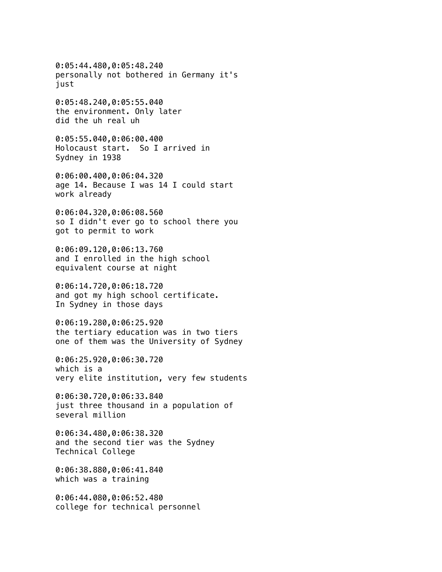0:05:44.480,0:05:48.240 personally not bothered in Germany it's just

0:05:48.240,0:05:55.040 the environment. Only later did the uh real uh

0:05:55.040,0:06:00.400 Holocaust start. So I arrived in Sydney in 1938

0:06:00.400,0:06:04.320 age 14. Because I was 14 I could start work already

0:06:04.320,0:06:08.560 so I didn't ever go to school there you got to permit to work

0:06:09.120,0:06:13.760 and I enrolled in the high school equivalent course at night

0:06:14.720,0:06:18.720 and got my high school certificate. In Sydney in those days

0:06:19.280,0:06:25.920 the tertiary education was in two tiers one of them was the University of Sydney

0:06:25.920,0:06:30.720 which is a very elite institution, very few students

0:06:30.720,0:06:33.840 just three thousand in a population of several million

0:06:34.480,0:06:38.320 and the second tier was the Sydney Technical College

0:06:38.880,0:06:41.840 which was a training

0:06:44.080,0:06:52.480 college for technical personnel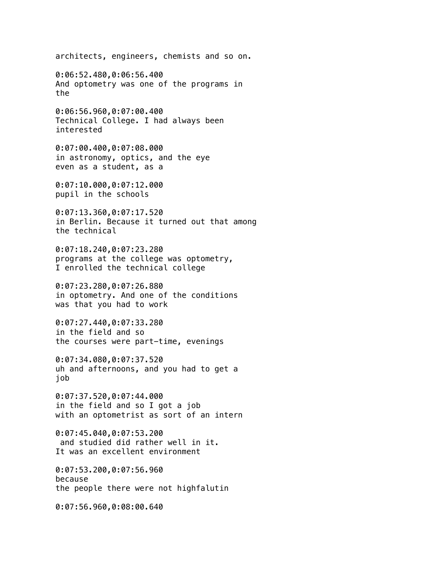architects, engineers, chemists and so on.

0:06:52.480,0:06:56.400 And optometry was one of the programs in the

0:06:56.960,0:07:00.400 Technical College. I had always been interested

0:07:00.400,0:07:08.000 in astronomy, optics, and the eye even as a student, as a

0:07:10.000,0:07:12.000 pupil in the schools

0:07:13.360,0:07:17.520 in Berlin. Because it turned out that among the technical

0:07:18.240,0:07:23.280 programs at the college was optometry, I enrolled the technical college

0:07:23.280,0:07:26.880 in optometry. And one of the conditions was that you had to work

0:07:27.440,0:07:33.280 in the field and so the courses were part-time, evenings

0:07:34.080,0:07:37.520 uh and afternoons, and you had to get a job

0:07:37.520,0:07:44.000 in the field and so I got a job with an optometrist as sort of an intern

0:07:45.040,0:07:53.200 and studied did rather well in it. It was an excellent environment

0:07:53.200,0:07:56.960 because the people there were not highfalutin

0:07:56.960,0:08:00.640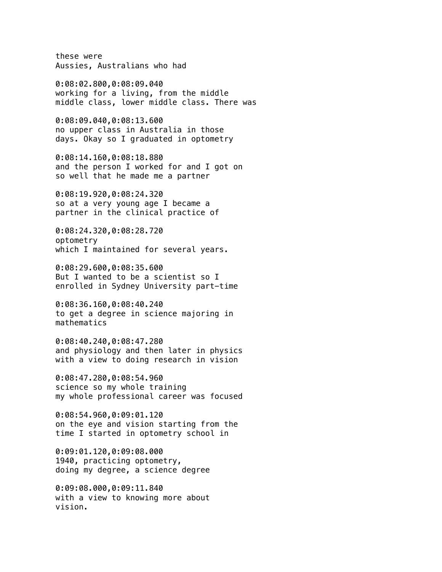these were Aussies, Australians who had

0:08:02.800,0:08:09.040 working for a living, from the middle middle class, lower middle class. There was

0:08:09.040,0:08:13.600 no upper class in Australia in those days. Okay so I graduated in optometry

0:08:14.160,0:08:18.880 and the person I worked for and I got on so well that he made me a partner

0:08:19.920,0:08:24.320 so at a very young age I became a partner in the clinical practice of

0:08:24.320,0:08:28.720 optometry which I maintained for several years.

0:08:29.600,0:08:35.600 But I wanted to be a scientist so I enrolled in Sydney University part-time

0:08:36.160,0:08:40.240 to get a degree in science majoring in mathematics

0:08:40.240,0:08:47.280 and physiology and then later in physics with a view to doing research in vision

0:08:47.280,0:08:54.960 science so my whole training my whole professional career was focused

0:08:54.960,0:09:01.120 on the eye and vision starting from the time I started in optometry school in

0:09:01.120,0:09:08.000 1940, practicing optometry, doing my degree, a science degree

0:09:08.000,0:09:11.840 with a view to knowing more about vision.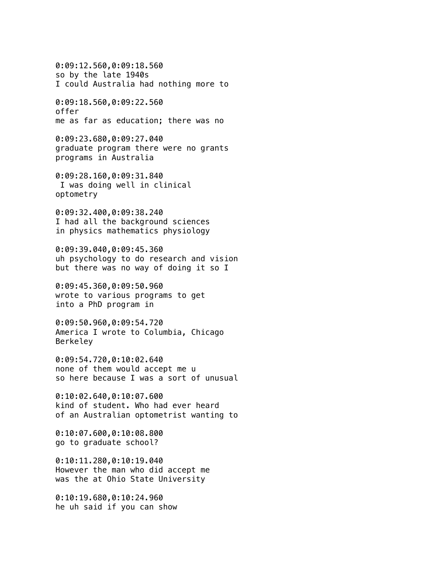0:09:12.560,0:09:18.560 so by the late 1940s I could Australia had nothing more to

0:09:18.560,0:09:22.560 offer me as far as education; there was no

0:09:23.680,0:09:27.040 graduate program there were no grants programs in Australia

0:09:28.160,0:09:31.840 I was doing well in clinical optometry

0:09:32.400,0:09:38.240 I had all the background sciences in physics mathematics physiology

0:09:39.040,0:09:45.360 uh psychology to do research and vision but there was no way of doing it so I

0:09:45.360,0:09:50.960 wrote to various programs to get into a PhD program in

0:09:50.960,0:09:54.720 America I wrote to Columbia, Chicago Berkeley

0:09:54.720,0:10:02.640 none of them would accept me u so here because I was a sort of unusual

0:10:02.640,0:10:07.600 kind of student. Who had ever heard of an Australian optometrist wanting to

0:10:07.600,0:10:08.800 go to graduate school?

0:10:11.280,0:10:19.040 However the man who did accept me was the at Ohio State University

0:10:19.680,0:10:24.960 he uh said if you can show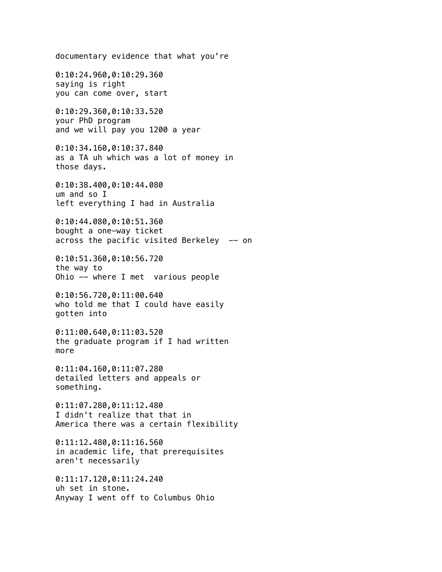documentary evidence that what you're 0:10:24.960,0:10:29.360 saying is right you can come over, start 0:10:29.360,0:10:33.520 your PhD program and we will pay you 1200 a year 0:10:34.160,0:10:37.840 as a TA uh which was a lot of money in those days. 0:10:38.400,0:10:44.080 um and so I left everything I had in Australia 0:10:44.080,0:10:51.360 bought a one-way ticket across the pacific visited Berkeley  $-$  on 0:10:51.360,0:10:56.720 the way to Ohio -- where I met various people 0:10:56.720,0:11:00.640 who told me that I could have easily gotten into 0:11:00.640,0:11:03.520 the graduate program if I had written more 0:11:04.160,0:11:07.280 detailed letters and appeals or something. 0:11:07.280,0:11:12.480 I didn't realize that that in America there was a certain flexibility 0:11:12.480,0:11:16.560 in academic life, that prerequisites aren't necessarily 0:11:17.120,0:11:24.240 uh set in stone. Anyway I went off to Columbus Ohio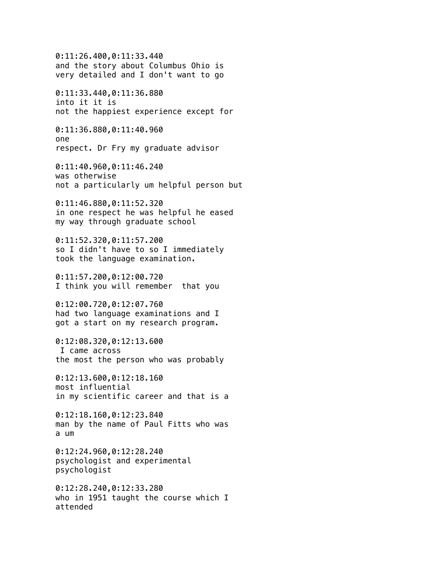0:11:26.400,0:11:33.440 and the story about Columbus Ohio is very detailed and I don't want to go 0:11:33.440,0:11:36.880 into it it is not the happiest experience except for 0:11:36.880,0:11:40.960 one respect. Dr Fry my graduate advisor 0:11:40.960,0:11:46.240 was otherwise not a particularly um helpful person but 0:11:46.880,0:11:52.320 in one respect he was helpful he eased my way through graduate school 0:11:52.320,0:11:57.200 so I didn't have to so I immediately took the language examination. 0:11:57.200,0:12:00.720 I think you will remember that you 0:12:00.720,0:12:07.760 had two language examinations and I got a start on my research program. 0:12:08.320,0:12:13.600 I came across the most the person who was probably 0:12:13.600,0:12:18.160 most influential in my scientific career and that is a 0:12:18.160,0:12:23.840 man by the name of Paul Fitts who was a um 0:12:24.960,0:12:28.240 psychologist and experimental psychologist 0:12:28.240,0:12:33.280 who in 1951 taught the course which I attended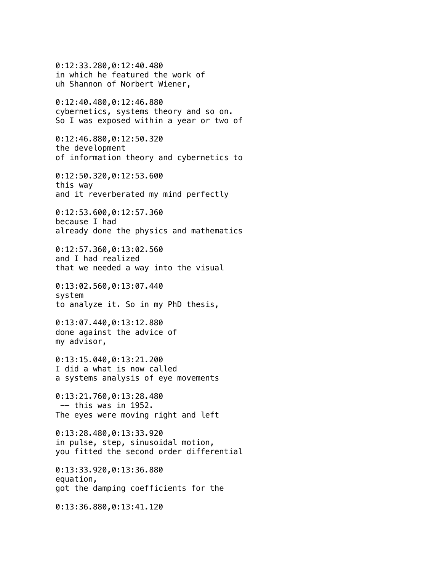0:12:33.280,0:12:40.480 in which he featured the work of uh Shannon of Norbert Wiener, 0:12:40.480,0:12:46.880 cybernetics, systems theory and so on. So I was exposed within a year or two of 0:12:46.880,0:12:50.320 the development of information theory and cybernetics to 0:12:50.320,0:12:53.600 this way and it reverberated my mind perfectly 0:12:53.600,0:12:57.360 because I had already done the physics and mathematics 0:12:57.360,0:13:02.560 and I had realized that we needed a way into the visual 0:13:02.560,0:13:07.440 system to analyze it. So in my PhD thesis, 0:13:07.440,0:13:12.880 done against the advice of my advisor, 0:13:15.040,0:13:21.200 I did a what is now called a systems analysis of eye movements 0:13:21.760,0:13:28.480  $--$  this was in 1952. The eyes were moving right and left 0:13:28.480,0:13:33.920 in pulse, step, sinusoidal motion, you fitted the second order differential 0:13:33.920,0:13:36.880 equation, got the damping coefficients for the 0:13:36.880,0:13:41.120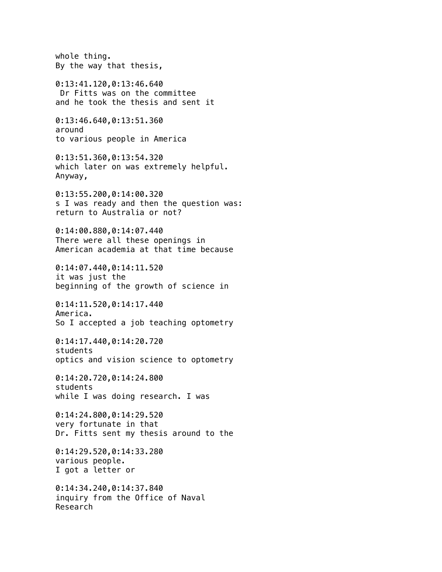whole thing. By the way that thesis, 0:13:41.120,0:13:46.640 Dr Fitts was on the committee and he took the thesis and sent it 0:13:46.640,0:13:51.360 around to various people in America 0:13:51.360,0:13:54.320 which later on was extremely helpful. Anyway, 0:13:55.200,0:14:00.320 s I was ready and then the question was: return to Australia or not? 0:14:00.880,0:14:07.440 There were all these openings in American academia at that time because 0:14:07.440,0:14:11.520 it was just the beginning of the growth of science in 0:14:11.520,0:14:17.440 America. So I accepted a job teaching optometry 0:14:17.440,0:14:20.720 students optics and vision science to optometry 0:14:20.720,0:14:24.800 students while I was doing research. I was 0:14:24.800,0:14:29.520 very fortunate in that Dr. Fitts sent my thesis around to the 0:14:29.520,0:14:33.280 various people. I got a letter or 0:14:34.240,0:14:37.840 inquiry from the Office of Naval Research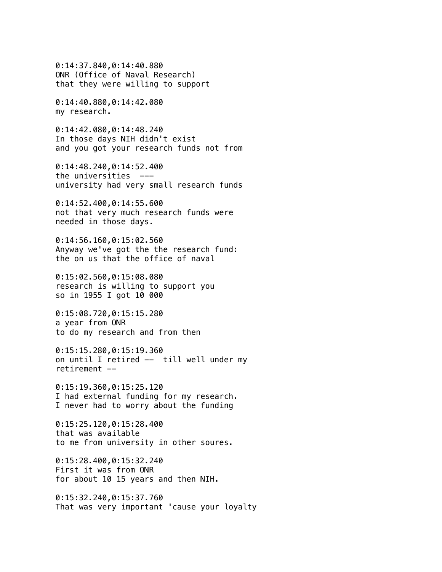0:14:37.840,0:14:40.880 ONR (Office of Naval Research) that they were willing to support

0:14:40.880,0:14:42.080 my research.

0:14:42.080,0:14:48.240 In those days NIH didn't exist and you got your research funds not from

0:14:48.240,0:14:52.400 the universities -- university had very small research funds

0:14:52.400,0:14:55.600 not that very much research funds were needed in those days.

0:14:56.160,0:15:02.560 Anyway we've got the the research fund: the on us that the office of naval

0:15:02.560,0:15:08.080 research is willing to support you so in 1955 I got 10 000

0:15:08.720,0:15:15.280 a year from ONR to do my research and from then

0:15:15.280,0:15:19.360 on until I retired -- till well under my retirement --

0:15:19.360,0:15:25.120 I had external funding for my research. I never had to worry about the funding

0:15:25.120,0:15:28.400 that was available to me from university in other soures.

0:15:28.400,0:15:32.240 First it was from ONR for about 10 15 years and then NIH.

0:15:32.240,0:15:37.760 That was very important 'cause your loyalty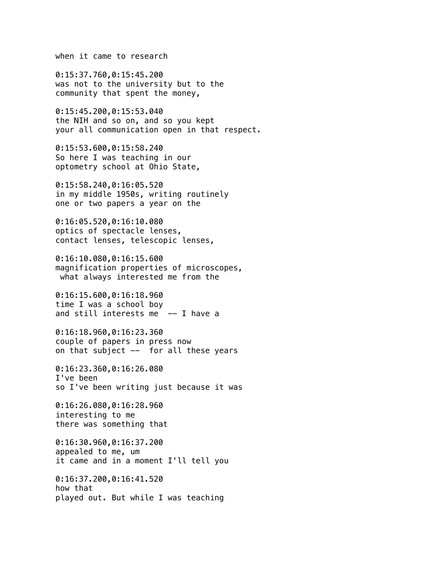when it came to research

0:15:37.760,0:15:45.200 was not to the university but to the community that spent the money,

0:15:45.200,0:15:53.040 the NIH and so on, and so you kept your all communication open in that respect.

0:15:53.600,0:15:58.240 So here I was teaching in our optometry school at Ohio State,

0:15:58.240,0:16:05.520 in my middle 1950s, writing routinely one or two papers a year on the

0:16:05.520,0:16:10.080 optics of spectacle lenses, contact lenses, telescopic lenses,

0:16:10.080,0:16:15.600 magnification properties of microscopes, what always interested me from the

0:16:15.600,0:16:18.960 time I was a school boy and still interests me  $-$  I have a

0:16:18.960,0:16:23.360 couple of papers in press now on that subject -- for all these years

0:16:23.360,0:16:26.080 I've been so I've been writing just because it was

0:16:26.080,0:16:28.960 interesting to me there was something that

0:16:30.960,0:16:37.200 appealed to me, um it came and in a moment I'll tell you

0:16:37.200,0:16:41.520 how that played out. But while I was teaching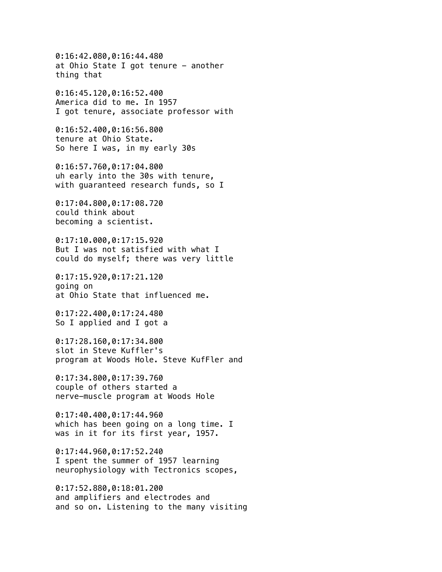0:16:42.080,0:16:44.480 at Ohio State I got tenure - another thing that

0:16:45.120,0:16:52.400 America did to me. In 1957 I got tenure, associate professor with

0:16:52.400,0:16:56.800 tenure at Ohio State. So here I was, in my early 30s

0:16:57.760,0:17:04.800 uh early into the 30s with tenure, with guaranteed research funds, so I

0:17:04.800,0:17:08.720 could think about becoming a scientist.

0:17:10.000,0:17:15.920 But I was not satisfied with what I could do myself; there was very little

0:17:15.920,0:17:21.120 going on at Ohio State that influenced me.

0:17:22.400,0:17:24.480 So I applied and I got a

0:17:28.160,0:17:34.800 slot in Steve Kuffler's program at Woods Hole. Steve KufFler and

0:17:34.800,0:17:39.760 couple of others started a nerve-muscle program at Woods Hole

0:17:40.400,0:17:44.960 which has been going on a long time. I was in it for its first year, 1957.

0:17:44.960,0:17:52.240 I spent the summer of 1957 learning neurophysiology with Tectronics scopes,

0:17:52.880,0:18:01.200 and amplifiers and electrodes and and so on. Listening to the many visiting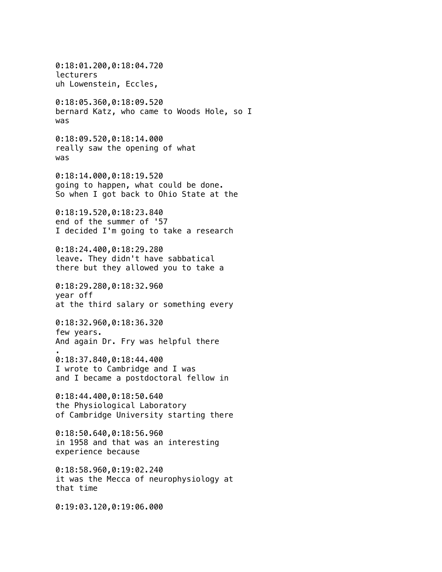0:18:01.200,0:18:04.720 lecturers uh Lowenstein, Eccles, 0:18:05.360,0:18:09.520 bernard Katz, who came to Woods Hole, so I was 0:18:09.520,0:18:14.000 really saw the opening of what was 0:18:14.000,0:18:19.520 going to happen, what could be done. So when I got back to Ohio State at the 0:18:19.520,0:18:23.840 end of the summer of '57 I decided I'm going to take a research 0:18:24.400,0:18:29.280 leave. They didn't have sabbatical there but they allowed you to take a 0:18:29.280,0:18:32.960 year off at the third salary or something every 0:18:32.960,0:18:36.320 few years. And again Dr. Fry was helpful there . 0:18:37.840,0:18:44.400 I wrote to Cambridge and I was and I became a postdoctoral fellow in 0:18:44.400,0:18:50.640 the Physiological Laboratory of Cambridge University starting there 0:18:50.640,0:18:56.960 in 1958 and that was an interesting experience because 0:18:58.960,0:19:02.240 it was the Mecca of neurophysiology at that time 0:19:03.120,0:19:06.000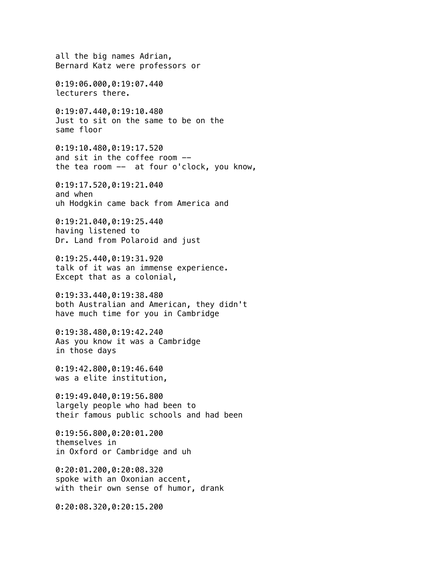all the big names Adrian, Bernard Katz were professors or 0:19:06.000,0:19:07.440 lecturers there. 0:19:07.440,0:19:10.480 Just to sit on the same to be on the same floor 0:19:10.480,0:19:17.520 and sit in the coffee room - the tea room -- at four o'clock, you know, 0:19:17.520,0:19:21.040 and when uh Hodgkin came back from America and 0:19:21.040,0:19:25.440 having listened to Dr. Land from Polaroid and just 0:19:25.440,0:19:31.920 talk of it was an immense experience. Except that as a colonial, 0:19:33.440,0:19:38.480 both Australian and American, they didn't have much time for you in Cambridge 0:19:38.480,0:19:42.240 Aas you know it was a Cambridge in those days 0:19:42.800,0:19:46.640 was a elite institution, 0:19:49.040,0:19:56.800 largely people who had been to their famous public schools and had been 0:19:56.800,0:20:01.200 themselves in in Oxford or Cambridge and uh 0:20:01.200,0:20:08.320 spoke with an Oxonian accent, with their own sense of humor, drank 0:20:08.320,0:20:15.200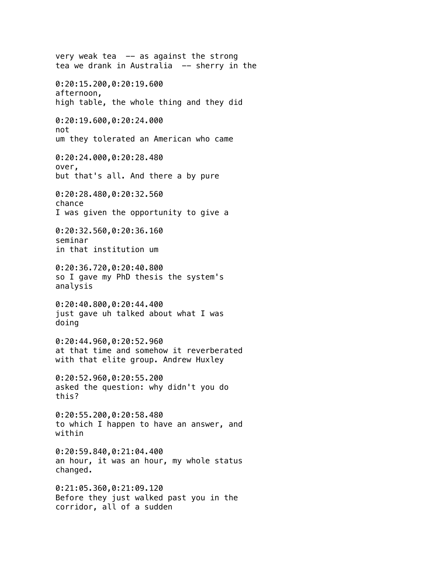very weak tea  $-$  as against the strong tea we drank in Australia -- sherry in the 0:20:15.200,0:20:19.600 afternoon, high table, the whole thing and they did 0:20:19.600,0:20:24.000 not um they tolerated an American who came 0:20:24.000,0:20:28.480 over, but that's all. And there a by pure 0:20:28.480,0:20:32.560 chance I was given the opportunity to give a 0:20:32.560,0:20:36.160 seminar in that institution um 0:20:36.720,0:20:40.800 so I gave my PhD thesis the system's analysis 0:20:40.800,0:20:44.400 just gave uh talked about what I was doing 0:20:44.960,0:20:52.960 at that time and somehow it reverberated with that elite group. Andrew Huxley 0:20:52.960,0:20:55.200 asked the question: why didn't you do this? 0:20:55.200,0:20:58.480 to which I happen to have an answer, and within 0:20:59.840,0:21:04.400 an hour, it was an hour, my whole status changed. 0:21:05.360,0:21:09.120 Before they just walked past you in the corridor, all of a sudden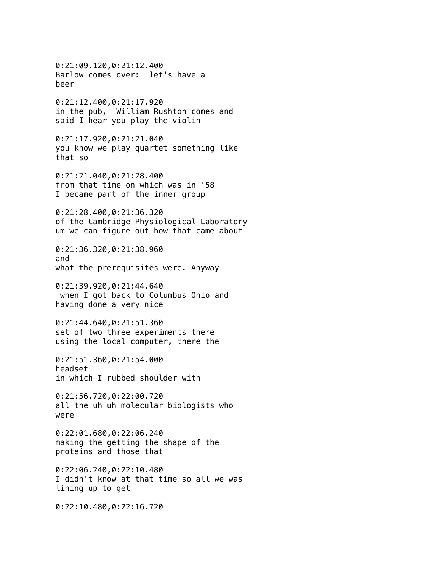0:21:09.120,0:21:12.400 Barlow comes over: let's have a beer 0:21:12.400,0:21:17.920 in the pub, William Rushton comes and said I hear you play the violin 0:21:17.920,0:21:21.040 you know we play quartet something like that so 0:21:21.040,0:21:28.400 from that time on which was in '58 I became part of the inner group 0:21:28.400,0:21:36.320 of the Cambridge Physiological Laboratory um we can figure out how that came about 0:21:36.320,0:21:38.960 and what the prerequisites were. Anyway 0:21:39.920,0:21:44.640 when I got back to Columbus Ohio and having done a very nice 0:21:44.640,0:21:51.360 set of two three experiments there using the local computer, there the 0:21:51.360,0:21:54.000 headset in which I rubbed shoulder with 0:21:56.720,0:22:00.720 all the uh uh molecular biologists who were 0:22:01.680,0:22:06.240 making the getting the shape of the proteins and those that 0:22:06.240,0:22:10.480 I didn't know at that time so all we was lining up to get 0:22:10.480,0:22:16.720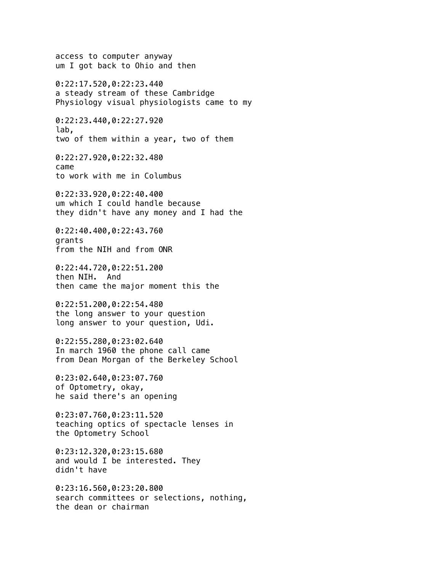access to computer anyway um I got back to Ohio and then 0:22:17.520,0:22:23.440 a steady stream of these Cambridge Physiology visual physiologists came to my 0:22:23.440,0:22:27.920 lab, two of them within a year, two of them 0:22:27.920,0:22:32.480 came to work with me in Columbus 0:22:33.920,0:22:40.400 um which I could handle because they didn't have any money and I had the 0:22:40.400,0:22:43.760 grants from the NIH and from ONR 0:22:44.720,0:22:51.200 then NIH. And then came the major moment this the 0:22:51.200,0:22:54.480 the long answer to your question long answer to your question, Udi. 0:22:55.280,0:23:02.640 In march 1960 the phone call came from Dean Morgan of the Berkeley School 0:23:02.640,0:23:07.760 of Optometry, okay, he said there's an opening 0:23:07.760,0:23:11.520 teaching optics of spectacle lenses in the Optometry School 0:23:12.320,0:23:15.680 and would I be interested. They didn't have 0:23:16.560,0:23:20.800 search committees or selections, nothing, the dean or chairman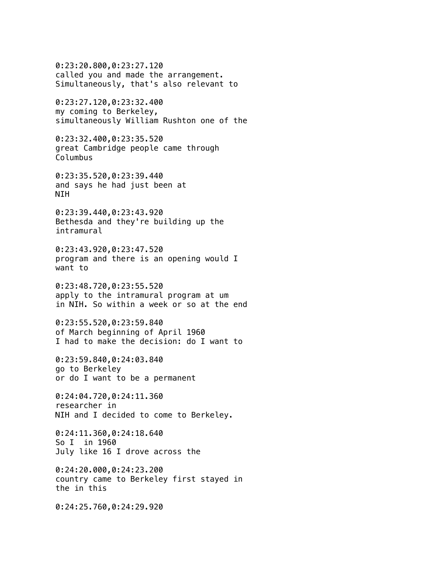0:23:20.800,0:23:27.120 called you and made the arrangement. Simultaneously, that's also relevant to

0:23:27.120,0:23:32.400 my coming to Berkeley, simultaneously William Rushton one of the

0:23:32.400,0:23:35.520 great Cambridge people came through Columbus

0:23:35.520,0:23:39.440 and says he had just been at NIH

0:23:39.440,0:23:43.920 Bethesda and they're building up the intramural

0:23:43.920,0:23:47.520 program and there is an opening would I want to

0:23:48.720,0:23:55.520 apply to the intramural program at um in NIH. So within a week or so at the end

0:23:55.520,0:23:59.840 of March beginning of April 1960 I had to make the decision: do I want to

0:23:59.840,0:24:03.840 go to Berkeley or do I want to be a permanent

0:24:04.720,0:24:11.360 researcher in NIH and I decided to come to Berkeley.

0:24:11.360,0:24:18.640 So I in 1960 July like 16 I drove across the

0:24:20.000,0:24:23.200 country came to Berkeley first stayed in the in this

0:24:25.760,0:24:29.920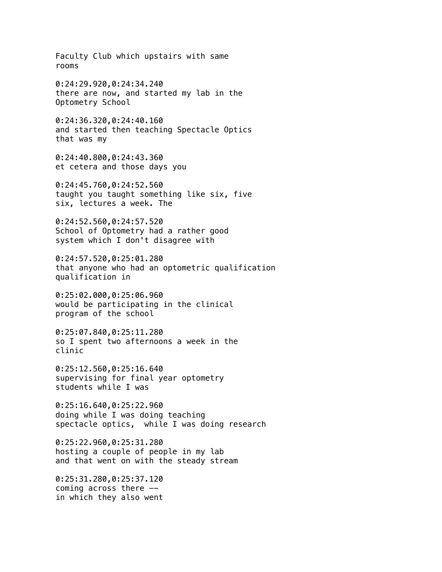Faculty Club which upstairs with same rooms 0:24:29.920,0:24:34.240 there are now, and started my lab in the Optometry School 0:24:36.320,0:24:40.160 and started then teaching Spectacle Optics that was my 0:24:40.800,0:24:43.360 et cetera and those days you 0:24:45.760,0:24:52.560 taught you taught something like six, five six, lectures a week. The 0:24:52.560,0:24:57.520 School of Optometry had a rather good system which I don't disagree with 0:24:57.520,0:25:01.280 that anyone who had an optometric qualification qualification in 0:25:02.000,0:25:06.960 would be participating in the clinical program of the school 0:25:07.840,0:25:11.280 so I spent two afternoons a week in the clinic 0:25:12.560,0:25:16.640 supervising for final year optometry students while I was 0:25:16.640,0:25:22.960 doing while I was doing teaching spectacle optics, while I was doing research 0:25:22.960,0:25:31.280 hosting a couple of people in my lab and that went on with the steady stream 0:25:31.280,0:25:37.120 coming across there  $$ in which they also went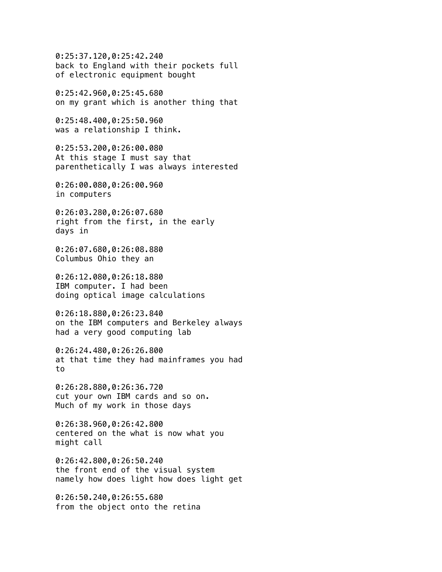0:25:37.120,0:25:42.240 back to England with their pockets full of electronic equipment bought

0:25:42.960,0:25:45.680 on my grant which is another thing that

0:25:48.400,0:25:50.960 was a relationship I think.

0:25:53.200,0:26:00.080 At this stage I must say that parenthetically I was always interested

0:26:00.080,0:26:00.960 in computers

0:26:03.280,0:26:07.680 right from the first, in the early days in

0:26:07.680,0:26:08.880 Columbus Ohio they an

0:26:12.080,0:26:18.880 IBM computer. I had been doing optical image calculations

0:26:18.880,0:26:23.840 on the IBM computers and Berkeley always had a very good computing lab

0:26:24.480,0:26:26.800 at that time they had mainframes you had to

0:26:28.880,0:26:36.720 cut your own IBM cards and so on. Much of my work in those days

0:26:38.960,0:26:42.800 centered on the what is now what you might call

0:26:42.800,0:26:50.240 the front end of the visual system namely how does light how does light get

0:26:50.240,0:26:55.680 from the object onto the retina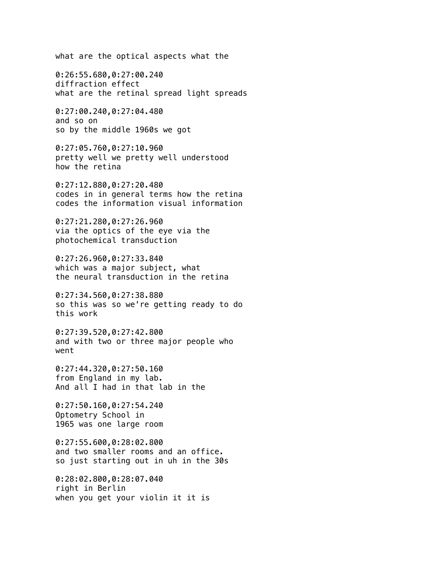what are the optical aspects what the

0:26:55.680,0:27:00.240 diffraction effect what are the retinal spread light spreads

0:27:00.240,0:27:04.480 and so on so by the middle 1960s we got

0:27:05.760,0:27:10.960 pretty well we pretty well understood how the retina

0:27:12.880,0:27:20.480 codes in in general terms how the retina codes the information visual information

0:27:21.280,0:27:26.960 via the optics of the eye via the photochemical transduction

0:27:26.960,0:27:33.840 which was a major subject, what the neural transduction in the retina

0:27:34.560,0:27:38.880 so this was so we're getting ready to do this work

0:27:39.520,0:27:42.800 and with two or three major people who went

0:27:44.320,0:27:50.160 from England in my lab. And all I had in that lab in the

0:27:50.160,0:27:54.240 Optometry School in 1965 was one large room

0:27:55.600,0:28:02.800 and two smaller rooms and an office. so just starting out in uh in the 30s

0:28:02.800,0:28:07.040 right in Berlin when you get your violin it it is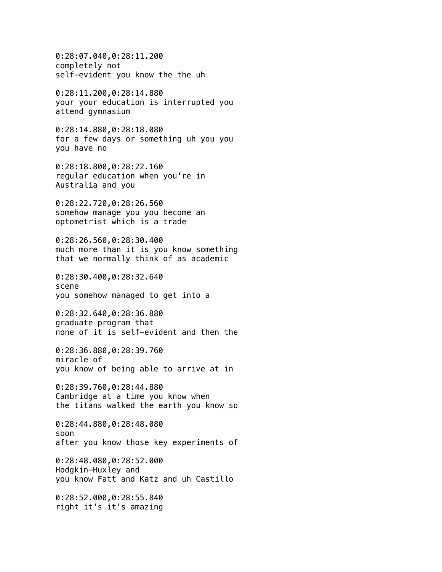0:28:07.040,0:28:11.200 completely not self-evident you know the the uh 0:28:11.200,0:28:14.880 your your education is interrupted you attend gymnasium 0:28:14.880,0:28:18.080 for a few days or something uh you you you have no 0:28:18.800,0:28:22.160 regular education when you're in Australia and you 0:28:22.720,0:28:26.560 somehow manage you you become an optometrist which is a trade 0:28:26.560,0:28:30.400 much more than it is you know something that we normally think of as academic 0:28:30.400,0:28:32.640 scene you somehow managed to get into a 0:28:32.640,0:28:36.880 graduate program that none of it is self-evident and then the 0:28:36.880,0:28:39.760 miracle of you know of being able to arrive at in 0:28:39.760,0:28:44.880 Cambridge at a time you know when the titans walked the earth you know so 0:28:44.880,0:28:48.080 soon after you know those key experiments of 0:28:48.080,0:28:52.000 Hodgkin-Huxley and you know Fatt and Katz and uh Castillo 0:28:52.000,0:28:55.840 right it's it's amazing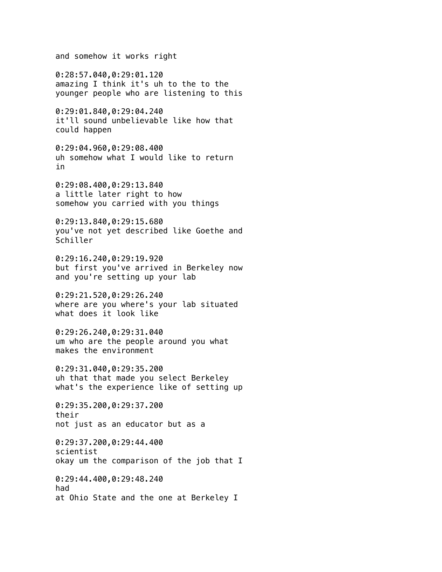and somehow it works right

0:28:57.040,0:29:01.120 amazing I think it's uh to the to the younger people who are listening to this

0:29:01.840,0:29:04.240 it'll sound unbelievable like how that could happen

0:29:04.960,0:29:08.400 uh somehow what I would like to return in

0:29:08.400,0:29:13.840 a little later right to how somehow you carried with you things

0:29:13.840,0:29:15.680 you've not yet described like Goethe and Schiller

0:29:16.240,0:29:19.920 but first you've arrived in Berkeley now and you're setting up your lab

0:29:21.520,0:29:26.240 where are you where's your lab situated what does it look like

0:29:26.240,0:29:31.040 um who are the people around you what makes the environment

0:29:31.040,0:29:35.200 uh that that made you select Berkeley what's the experience like of setting up

0:29:35.200,0:29:37.200 their not just as an educator but as a

0:29:37.200,0:29:44.400 scientist okay um the comparison of the job that I

0:29:44.400,0:29:48.240 had at Ohio State and the one at Berkeley I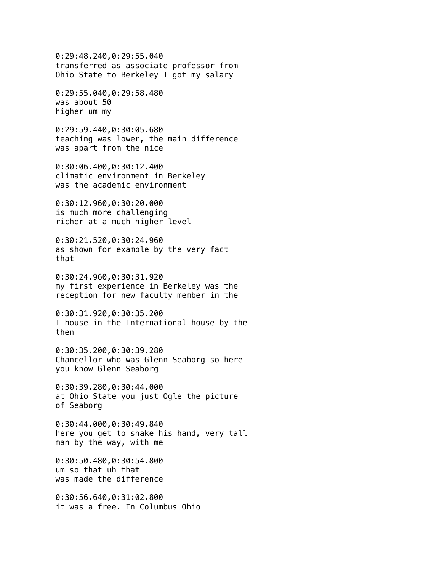0:29:48.240,0:29:55.040 transferred as associate professor from Ohio State to Berkeley I got my salary

0:29:55.040,0:29:58.480 was about 50 higher um my

0:29:59.440,0:30:05.680 teaching was lower, the main difference was apart from the nice

0:30:06.400,0:30:12.400 climatic environment in Berkeley was the academic environment

0:30:12.960,0:30:20.000 is much more challenging richer at a much higher level

0:30:21.520,0:30:24.960 as shown for example by the very fact that

0:30:24.960,0:30:31.920 my first experience in Berkeley was the reception for new faculty member in the

0:30:31.920,0:30:35.200 I house in the International house by the then

0:30:35.200,0:30:39.280 Chancellor who was Glenn Seaborg so here you know Glenn Seaborg

0:30:39.280,0:30:44.000 at Ohio State you just Ogle the picture of Seaborg

0:30:44.000,0:30:49.840 here you get to shake his hand, very tall man by the way, with me

0:30:50.480,0:30:54.800 um so that uh that was made the difference

0:30:56.640,0:31:02.800 it was a free. In Columbus Ohio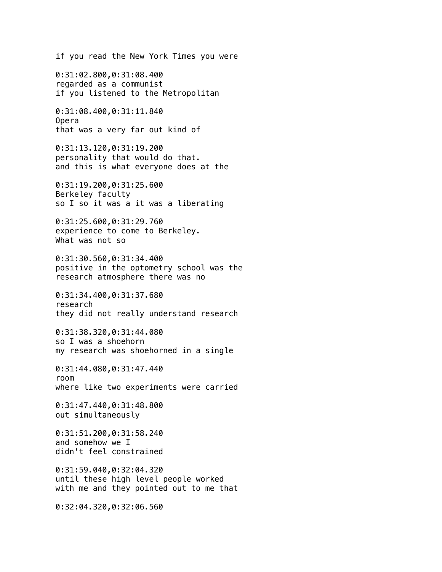if you read the New York Times you were

0:31:02.800,0:31:08.400 regarded as a communist if you listened to the Metropolitan

0:31:08.400,0:31:11.840 Opera that was a very far out kind of

0:31:13.120,0:31:19.200 personality that would do that. and this is what everyone does at the

0:31:19.200,0:31:25.600 Berkeley faculty so I so it was a it was a liberating

0:31:25.600,0:31:29.760 experience to come to Berkeley. What was not so

0:31:30.560,0:31:34.400 positive in the optometry school was the research atmosphere there was no

0:31:34.400,0:31:37.680 research they did not really understand research

0:31:38.320,0:31:44.080 so I was a shoehorn my research was shoehorned in a single

0:31:44.080,0:31:47.440 room where like two experiments were carried

0:31:47.440,0:31:48.800 out simultaneously

0:31:51.200,0:31:58.240 and somehow we I didn't feel constrained

0:31:59.040,0:32:04.320 until these high level people worked with me and they pointed out to me that

0:32:04.320,0:32:06.560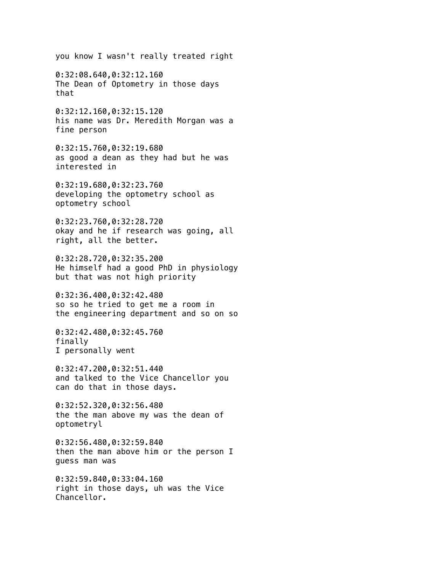you know I wasn't really treated right

0:32:08.640,0:32:12.160 The Dean of Optometry in those days that

0:32:12.160,0:32:15.120 his name was Dr. Meredith Morgan was a fine person

0:32:15.760,0:32:19.680 as good a dean as they had but he was interested in

0:32:19.680,0:32:23.760 developing the optometry school as optometry school

0:32:23.760,0:32:28.720 okay and he if research was going, all right, all the better.

0:32:28.720,0:32:35.200 He himself had a good PhD in physiology but that was not high priority

0:32:36.400,0:32:42.480 so so he tried to get me a room in the engineering department and so on so

0:32:42.480,0:32:45.760 finally I personally went

0:32:47.200,0:32:51.440 and talked to the Vice Chancellor you can do that in those days.

0:32:52.320,0:32:56.480 the the man above my was the dean of optometryl

0:32:56.480,0:32:59.840 then the man above him or the person I guess man was

0:32:59.840,0:33:04.160 right in those days, uh was the Vice Chancellor.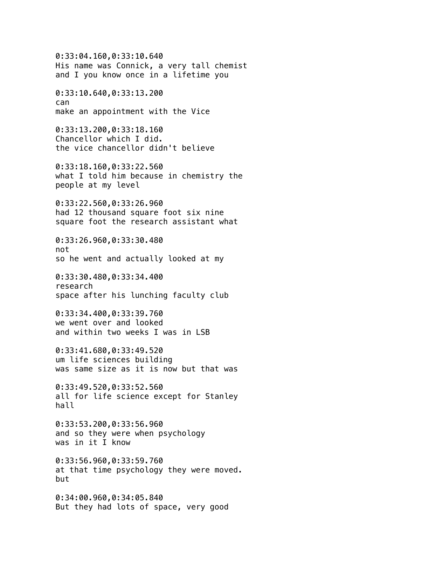0:33:04.160,0:33:10.640 His name was Connick, a very tall chemist and I you know once in a lifetime you 0:33:10.640,0:33:13.200 can make an appointment with the Vice 0:33:13.200,0:33:18.160 Chancellor which I did. the vice chancellor didn't believe 0:33:18.160,0:33:22.560 what I told him because in chemistry the people at my level 0:33:22.560,0:33:26.960 had 12 thousand square foot six nine square foot the research assistant what 0:33:26.960,0:33:30.480 not so he went and actually looked at my 0:33:30.480,0:33:34.400 research space after his lunching faculty club 0:33:34.400,0:33:39.760 we went over and looked and within two weeks I was in LSB 0:33:41.680,0:33:49.520 um life sciences building was same size as it is now but that was 0:33:49.520,0:33:52.560 all for life science except for Stanley hall 0:33:53.200,0:33:56.960 and so they were when psychology was in it I know 0:33:56.960,0:33:59.760 at that time psychology they were moved. but 0:34:00.960,0:34:05.840 But they had lots of space, very good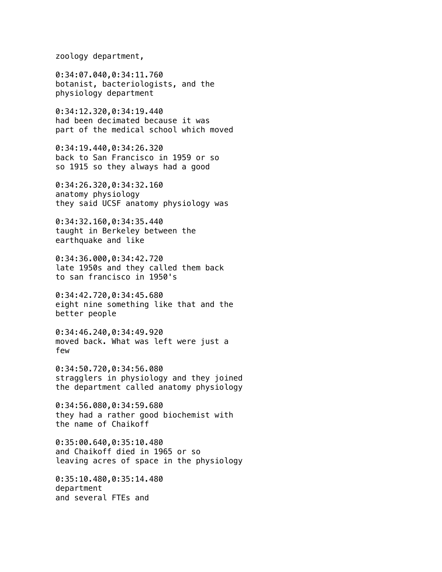zoology department,

0:34:07.040,0:34:11.760 botanist, bacteriologists, and the physiology department

0:34:12.320,0:34:19.440 had been decimated because it was part of the medical school which moved

0:34:19.440,0:34:26.320 back to San Francisco in 1959 or so so 1915 so they always had a good

0:34:26.320,0:34:32.160 anatomy physiology they said UCSF anatomy physiology was

0:34:32.160,0:34:35.440 taught in Berkeley between the earthquake and like

0:34:36.000,0:34:42.720 late 1950s and they called them back to san francisco in 1950's

0:34:42.720,0:34:45.680 eight nine something like that and the better people

0:34:46.240,0:34:49.920 moved back. What was left were just a few

0:34:50.720,0:34:56.080 stragglers in physiology and they joined the department called anatomy physiology

0:34:56.080,0:34:59.680 they had a rather good biochemist with the name of Chaikoff

0:35:00.640,0:35:10.480 and Chaikoff died in 1965 or so leaving acres of space in the physiology

0:35:10.480,0:35:14.480 department and several FTEs and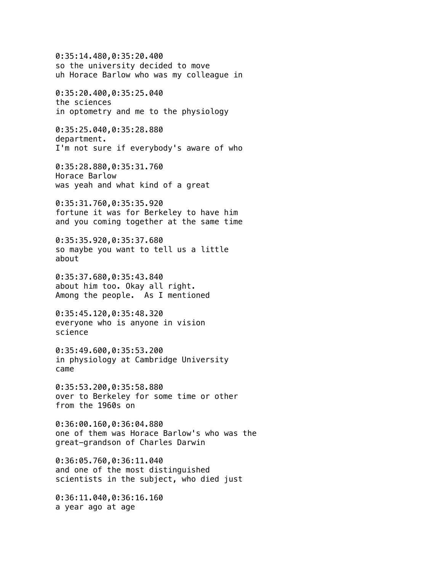0:35:14.480,0:35:20.400 so the university decided to move uh Horace Barlow who was my colleague in 0:35:20.400,0:35:25.040 the sciences in optometry and me to the physiology 0:35:25.040,0:35:28.880 department. I'm not sure if everybody's aware of who 0:35:28.880,0:35:31.760 Horace Barlow was yeah and what kind of a great 0:35:31.760,0:35:35.920 fortune it was for Berkeley to have him and you coming together at the same time 0:35:35.920,0:35:37.680 so maybe you want to tell us a little about 0:35:37.680,0:35:43.840 about him too. Okay all right. Among the people. As I mentioned 0:35:45.120,0:35:48.320 everyone who is anyone in vision science 0:35:49.600,0:35:53.200 in physiology at Cambridge University came 0:35:53.200,0:35:58.880 over to Berkeley for some time or other from the 1960s on 0:36:00.160,0:36:04.880 one of them was Horace Barlow's who was the great-grandson of Charles Darwin 0:36:05.760,0:36:11.040 and one of the most distinguished scientists in the subject, who died just 0:36:11.040,0:36:16.160 a year ago at age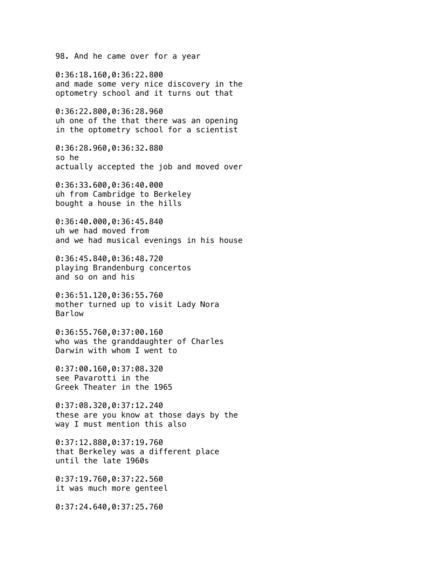98. And he came over for a year

0:36:18.160,0:36:22.800 and made some very nice discovery in the optometry school and it turns out that

0:36:22.800,0:36:28.960 uh one of the that there was an opening in the optometry school for a scientist

0:36:28.960,0:36:32.880 so he actually accepted the job and moved over

0:36:33.600,0:36:40.000 uh from Cambridge to Berkeley bought a house in the hills

0:36:40.000,0:36:45.840 uh we had moved from and we had musical evenings in his house

0:36:45.840,0:36:48.720 playing Brandenburg concertos and so on and his

0:36:51.120,0:36:55.760 mother turned up to visit Lady Nora Barlow

0:36:55.760,0:37:00.160 who was the granddaughter of Charles Darwin with whom I went to

0:37:00.160,0:37:08.320 see Pavarotti in the Greek Theater in the 1965

0:37:08.320,0:37:12.240 these are you know at those days by the way I must mention this also

0:37:12.880,0:37:19.760 that Berkeley was a different place until the late 1960s

0:37:19.760,0:37:22.560 it was much more genteel

0:37:24.640,0:37:25.760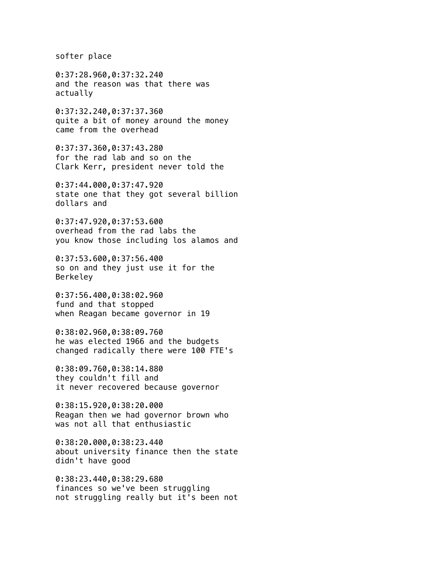softer place

0:37:28.960,0:37:32.240 and the reason was that there was actually

0:37:32.240,0:37:37.360 quite a bit of money around the money came from the overhead

0:37:37.360,0:37:43.280 for the rad lab and so on the Clark Kerr, president never told the

0:37:44.000,0:37:47.920 state one that they got several billion dollars and

0:37:47.920,0:37:53.600 overhead from the rad labs the you know those including los alamos and

0:37:53.600,0:37:56.400 so on and they just use it for the Berkeley

0:37:56.400,0:38:02.960 fund and that stopped when Reagan became governor in 19

0:38:02.960,0:38:09.760 he was elected 1966 and the budgets changed radically there were 100 FTE's

0:38:09.760,0:38:14.880 they couldn't fill and it never recovered because governor

0:38:15.920,0:38:20.000 Reagan then we had governor brown who was not all that enthusiastic

0:38:20.000,0:38:23.440 about university finance then the state didn't have good

0:38:23.440,0:38:29.680 finances so we've been struggling not struggling really but it's been not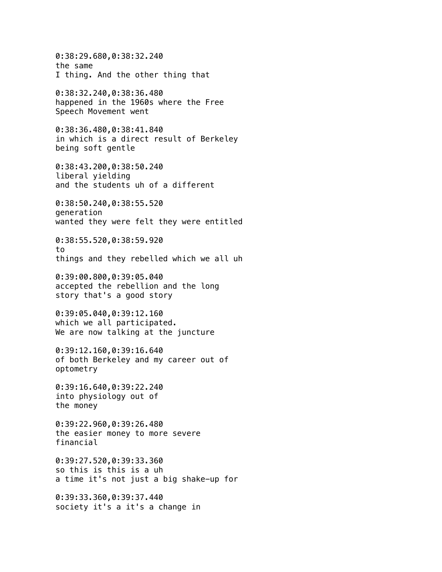0:38:29.680,0:38:32.240 the same I thing. And the other thing that 0:38:32.240,0:38:36.480 happened in the 1960s where the Free Speech Movement went 0:38:36.480,0:38:41.840 in which is a direct result of Berkeley being soft gentle 0:38:43.200,0:38:50.240 liberal yielding and the students uh of a different 0:38:50.240,0:38:55.520 generation wanted they were felt they were entitled 0:38:55.520,0:38:59.920 to things and they rebelled which we all uh 0:39:00.800,0:39:05.040 accepted the rebellion and the long story that's a good story 0:39:05.040,0:39:12.160 which we all participated. We are now talking at the juncture 0:39:12.160,0:39:16.640 of both Berkeley and my career out of optometry 0:39:16.640,0:39:22.240 into physiology out of the money 0:39:22.960,0:39:26.480 the easier money to more severe financial 0:39:27.520,0:39:33.360 so this is this is a uh a time it's not just a big shake-up for 0:39:33.360,0:39:37.440 society it's a it's a change in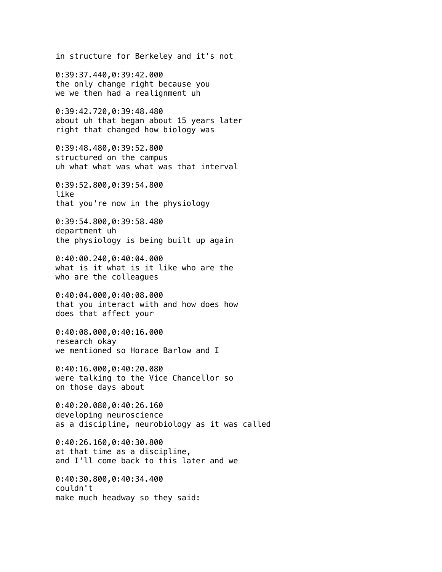in structure for Berkeley and it's not

0:39:37.440,0:39:42.000 the only change right because you we we then had a realignment uh

0:39:42.720,0:39:48.480 about uh that began about 15 years later right that changed how biology was

0:39:48.480,0:39:52.800 structured on the campus uh what what was what was that interval

0:39:52.800,0:39:54.800 like that you're now in the physiology

0:39:54.800,0:39:58.480 department uh the physiology is being built up again

0:40:00.240,0:40:04.000 what is it what is it like who are the who are the colleagues

0:40:04.000,0:40:08.000 that you interact with and how does how does that affect your

0:40:08.000,0:40:16.000 research okay we mentioned so Horace Barlow and I

0:40:16.000,0:40:20.080 were talking to the Vice Chancellor so on those days about

0:40:20.080,0:40:26.160 developing neuroscience as a discipline, neurobiology as it was called

0:40:26.160,0:40:30.800 at that time as a discipline, and I'll come back to this later and we

0:40:30.800,0:40:34.400 couldn't make much headway so they said: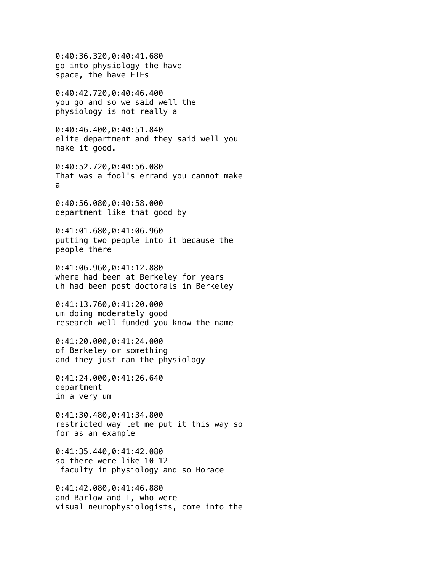0:40:36.320,0:40:41.680 go into physiology the have space, the have FTEs 0:40:42.720,0:40:46.400 you go and so we said well the physiology is not really a 0:40:46.400,0:40:51.840 elite department and they said well you make it good. 0:40:52.720,0:40:56.080 That was a fool's errand you cannot make a 0:40:56.080,0:40:58.000 department like that good by 0:41:01.680,0:41:06.960 putting two people into it because the people there 0:41:06.960,0:41:12.880 where had been at Berkeley for years uh had been post doctorals in Berkeley 0:41:13.760,0:41:20.000 um doing moderately good research well funded you know the name 0:41:20.000,0:41:24.000 of Berkeley or something and they just ran the physiology 0:41:24.000,0:41:26.640 department in a very um 0:41:30.480,0:41:34.800 restricted way let me put it this way so for as an example 0:41:35.440,0:41:42.080 so there were like 10 12 faculty in physiology and so Horace 0:41:42.080,0:41:46.880 and Barlow and I, who were visual neurophysiologists, come into the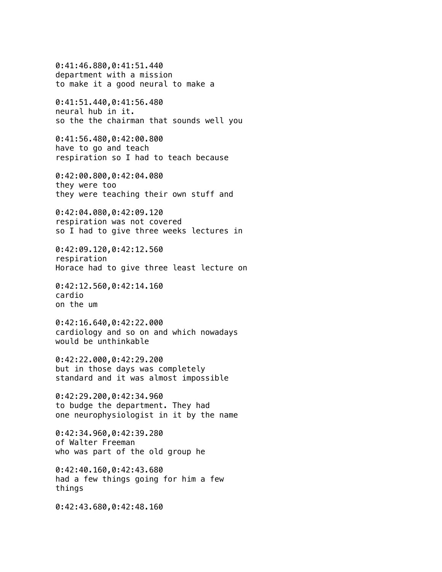0:41:46.880,0:41:51.440 department with a mission to make it a good neural to make a 0:41:51.440,0:41:56.480 neural hub in it. so the the chairman that sounds well you 0:41:56.480,0:42:00.800 have to go and teach respiration so I had to teach because 0:42:00.800,0:42:04.080 they were too they were teaching their own stuff and 0:42:04.080,0:42:09.120 respiration was not covered so I had to give three weeks lectures in 0:42:09.120,0:42:12.560 respiration Horace had to give three least lecture on 0:42:12.560,0:42:14.160 cardio on the um 0:42:16.640,0:42:22.000 cardiology and so on and which nowadays would be unthinkable 0:42:22.000,0:42:29.200 but in those days was completely standard and it was almost impossible 0:42:29.200,0:42:34.960 to budge the department. They had one neurophysiologist in it by the name 0:42:34.960,0:42:39.280 of Walter Freeman who was part of the old group he 0:42:40.160,0:42:43.680 had a few things going for him a few things 0:42:43.680,0:42:48.160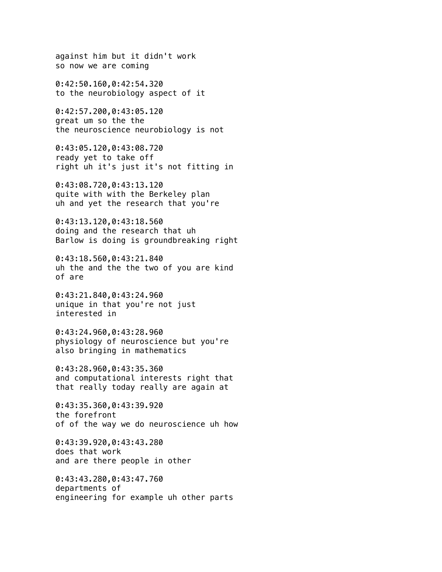against him but it didn't work so now we are coming

0:42:50.160,0:42:54.320 to the neurobiology aspect of it

0:42:57.200,0:43:05.120 great um so the the the neuroscience neurobiology is not

0:43:05.120,0:43:08.720 ready yet to take off right uh it's just it's not fitting in

0:43:08.720,0:43:13.120 quite with with the Berkeley plan uh and yet the research that you're

0:43:13.120,0:43:18.560 doing and the research that uh Barlow is doing is groundbreaking right

0:43:18.560,0:43:21.840 uh the and the the two of you are kind of are

0:43:21.840,0:43:24.960 unique in that you're not just interested in

0:43:24.960,0:43:28.960 physiology of neuroscience but you're also bringing in mathematics

0:43:28.960,0:43:35.360 and computational interests right that that really today really are again at

0:43:35.360,0:43:39.920 the forefront of of the way we do neuroscience uh how

0:43:39.920,0:43:43.280 does that work and are there people in other

0:43:43.280,0:43:47.760 departments of engineering for example uh other parts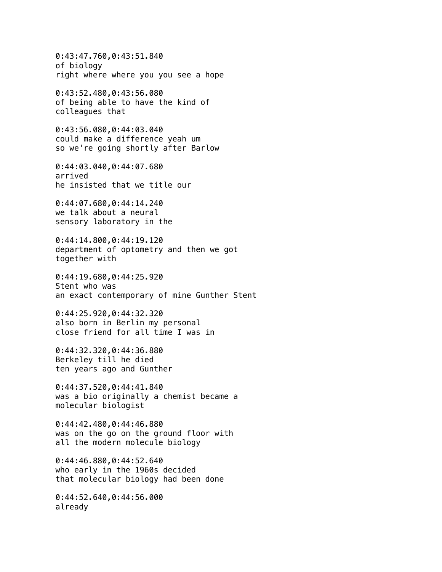0:43:47.760,0:43:51.840 of biology right where where you you see a hope 0:43:52.480,0:43:56.080 of being able to have the kind of colleagues that 0:43:56.080,0:44:03.040 could make a difference yeah um so we're going shortly after Barlow 0:44:03.040,0:44:07.680 arrived he insisted that we title our 0:44:07.680,0:44:14.240 we talk about a neural sensory laboratory in the 0:44:14.800,0:44:19.120 department of optometry and then we got together with 0:44:19.680,0:44:25.920 Stent who was an exact contemporary of mine Gunther Stent 0:44:25.920,0:44:32.320 also born in Berlin my personal close friend for all time I was in 0:44:32.320,0:44:36.880 Berkeley till he died ten years ago and Gunther 0:44:37.520,0:44:41.840 was a bio originally a chemist became a molecular biologist 0:44:42.480,0:44:46.880 was on the go on the ground floor with all the modern molecule biology 0:44:46.880,0:44:52.640 who early in the 1960s decided that molecular biology had been done 0:44:52.640,0:44:56.000 already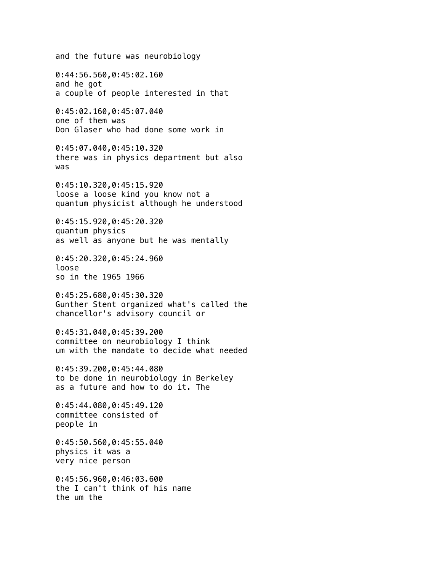and the future was neurobiology 0:44:56.560,0:45:02.160 and he got a couple of people interested in that 0:45:02.160,0:45:07.040 one of them was Don Glaser who had done some work in 0:45:07.040,0:45:10.320 there was in physics department but also was 0:45:10.320,0:45:15.920 loose a loose kind you know not a quantum physicist although he understood 0:45:15.920,0:45:20.320 quantum physics as well as anyone but he was mentally 0:45:20.320,0:45:24.960 loose so in the 1965 1966 0:45:25.680,0:45:30.320 Gunther Stent organized what's called the chancellor's advisory council or 0:45:31.040,0:45:39.200 committee on neurobiology I think um with the mandate to decide what needed 0:45:39.200,0:45:44.080 to be done in neurobiology in Berkeley as a future and how to do it. The 0:45:44.080,0:45:49.120 committee consisted of people in 0:45:50.560,0:45:55.040 physics it was a very nice person 0:45:56.960,0:46:03.600 the I can't think of his name the um the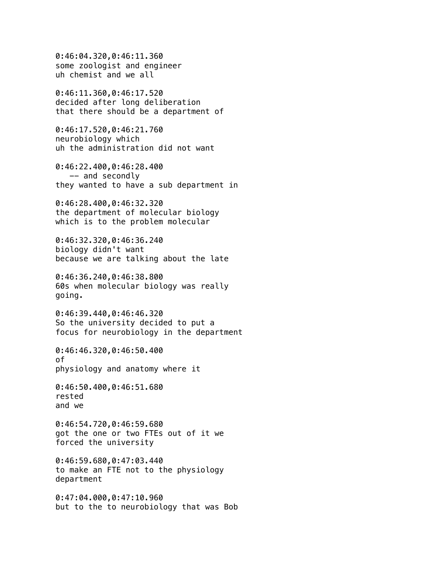0:46:04.320,0:46:11.360 some zoologist and engineer uh chemist and we all 0:46:11.360,0:46:17.520 decided after long deliberation that there should be a department of 0:46:17.520,0:46:21.760 neurobiology which uh the administration did not want 0:46:22.400,0:46:28.400 -- and secondly they wanted to have a sub department in 0:46:28.400,0:46:32.320 the department of molecular biology which is to the problem molecular 0:46:32.320,0:46:36.240 biology didn't want because we are talking about the late 0:46:36.240,0:46:38.800 60s when molecular biology was really going. 0:46:39.440,0:46:46.320 So the university decided to put a focus for neurobiology in the department 0:46:46.320,0:46:50.400 of physiology and anatomy where it 0:46:50.400,0:46:51.680 rested and we 0:46:54.720,0:46:59.680 got the one or two FTEs out of it we forced the university 0:46:59.680,0:47:03.440 to make an FTE not to the physiology department 0:47:04.000,0:47:10.960 but to the to neurobiology that was Bob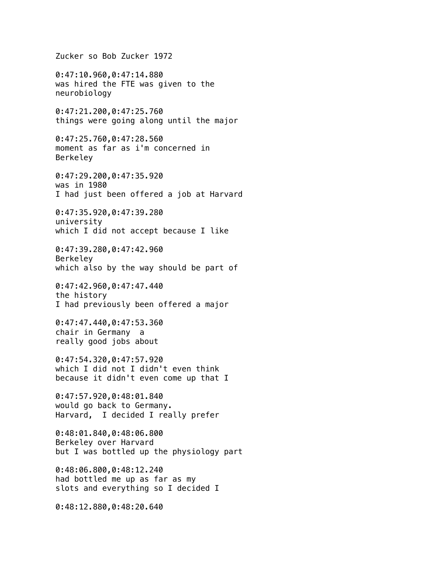Zucker so Bob Zucker 1972 0:47:10.960,0:47:14.880 was hired the FTE was given to the neurobiology 0:47:21.200,0:47:25.760 things were going along until the major 0:47:25.760,0:47:28.560 moment as far as i'm concerned in Berkeley 0:47:29.200,0:47:35.920 was in 1980 I had just been offered a job at Harvard 0:47:35.920,0:47:39.280 university which I did not accept because I like 0:47:39.280,0:47:42.960 Berkeley which also by the way should be part of 0:47:42.960,0:47:47.440 the history I had previously been offered a major 0:47:47.440,0:47:53.360 chair in Germany a really good jobs about 0:47:54.320,0:47:57.920 which I did not I didn't even think because it didn't even come up that I 0:47:57.920,0:48:01.840 would go back to Germany. Harvard, I decided I really prefer 0:48:01.840,0:48:06.800 Berkeley over Harvard but I was bottled up the physiology part 0:48:06.800,0:48:12.240 had bottled me up as far as my slots and everything so I decided I 0:48:12.880,0:48:20.640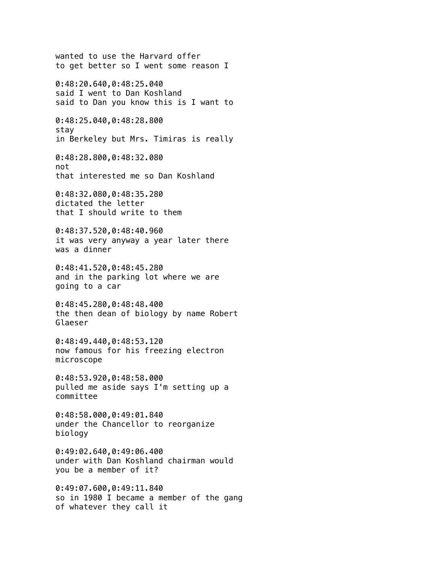wanted to use the Harvard offer to get better so I went some reason I 0:48:20.640,0:48:25.040 said I went to Dan Koshland said to Dan you know this is I want to 0:48:25.040,0:48:28.800 stay in Berkeley but Mrs. Timiras is really 0:48:28.800,0:48:32.080 not that interested me so Dan Koshland 0:48:32.080,0:48:35.280 dictated the letter that I should write to them 0:48:37.520,0:48:40.960 it was very anyway a year later there was a dinner 0:48:41.520,0:48:45.280 and in the parking lot where we are going to a car 0:48:45.280,0:48:48.400 the then dean of biology by name Robert Glaeser 0:48:49.440,0:48:53.120 now famous for his freezing electron microscope 0:48:53.920,0:48:58.000 pulled me aside says I'm setting up a committee 0:48:58.000,0:49:01.840 under the Chancellor to reorganize biology 0:49:02.640,0:49:06.400 under with Dan Koshland chairman would you be a member of it? 0:49:07.600,0:49:11.840 so in 1980 I became a member of the gang of whatever they call it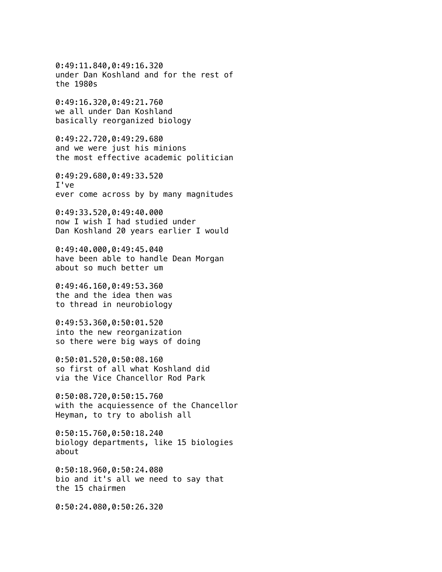0:49:11.840,0:49:16.320 under Dan Koshland and for the rest of the 1980s

0:49:16.320,0:49:21.760 we all under Dan Koshland basically reorganized biology

0:49:22.720,0:49:29.680 and we were just his minions the most effective academic politician

0:49:29.680,0:49:33.520 I've ever come across by by many magnitudes

0:49:33.520,0:49:40.000 now I wish I had studied under Dan Koshland 20 years earlier I would

0:49:40.000,0:49:45.040 have been able to handle Dean Morgan about so much better um

0:49:46.160,0:49:53.360 the and the idea then was to thread in neurobiology

0:49:53.360,0:50:01.520 into the new reorganization so there were big ways of doing

0:50:01.520,0:50:08.160 so first of all what Koshland did via the Vice Chancellor Rod Park

0:50:08.720,0:50:15.760 with the acquiessence of the Chancellor Heyman, to try to abolish all

0:50:15.760,0:50:18.240 biology departments, like 15 biologies about

0:50:18.960,0:50:24.080 bio and it's all we need to say that the 15 chairmen

0:50:24.080,0:50:26.320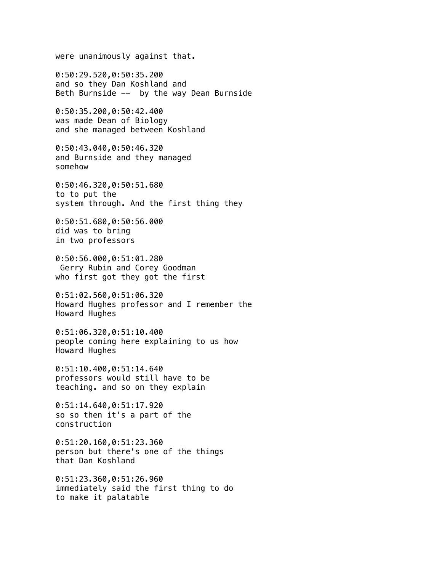were unanimously against that. 0:50:29.520,0:50:35.200 and so they Dan Koshland and Beth Burnside -- by the way Dean Burnside 0:50:35.200,0:50:42.400 was made Dean of Biology and she managed between Koshland 0:50:43.040,0:50:46.320 and Burnside and they managed somehow 0:50:46.320,0:50:51.680 to to put the system through. And the first thing they 0:50:51.680,0:50:56.000 did was to bring in two professors 0:50:56.000,0:51:01.280 Gerry Rubin and Corey Goodman who first got they got the first 0:51:02.560,0:51:06.320 Howard Hughes professor and I remember the Howard Hughes 0:51:06.320,0:51:10.400 people coming here explaining to us how Howard Hughes 0:51:10.400,0:51:14.640 professors would still have to be teaching. and so on they explain 0:51:14.640,0:51:17.920 so so then it's a part of the construction 0:51:20.160,0:51:23.360 person but there's one of the things that Dan Koshland 0:51:23.360,0:51:26.960 immediately said the first thing to do to make it palatable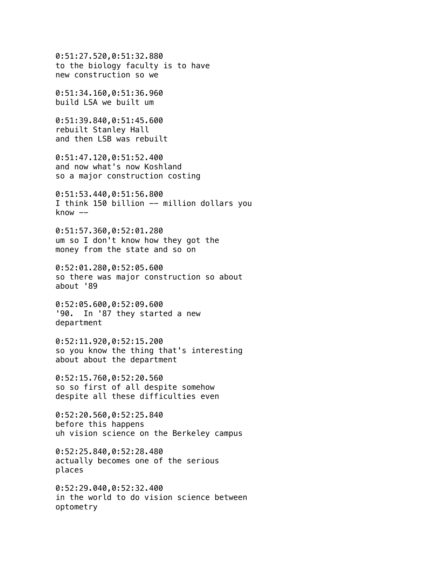0:51:27.520,0:51:32.880 to the biology faculty is to have new construction so we

0:51:34.160,0:51:36.960 build LSA we built um

0:51:39.840,0:51:45.600 rebuilt Stanley Hall and then LSB was rebuilt

0:51:47.120,0:51:52.400 and now what's now Koshland so a major construction costing

0:51:53.440,0:51:56.800 I think 150 billion -- million dollars you  $k$ now  $--$ 

0:51:57.360,0:52:01.280 um so I don't know how they got the money from the state and so on

0:52:01.280,0:52:05.600 so there was major construction so about about '89

0:52:05.600,0:52:09.600 '90. In '87 they started a new department

0:52:11.920,0:52:15.200 so you know the thing that's interesting about about the department

0:52:15.760,0:52:20.560 so so first of all despite somehow despite all these difficulties even

0:52:20.560,0:52:25.840 before this happens uh vision science on the Berkeley campus

0:52:25.840,0:52:28.480 actually becomes one of the serious places

0:52:29.040,0:52:32.400 in the world to do vision science between optometry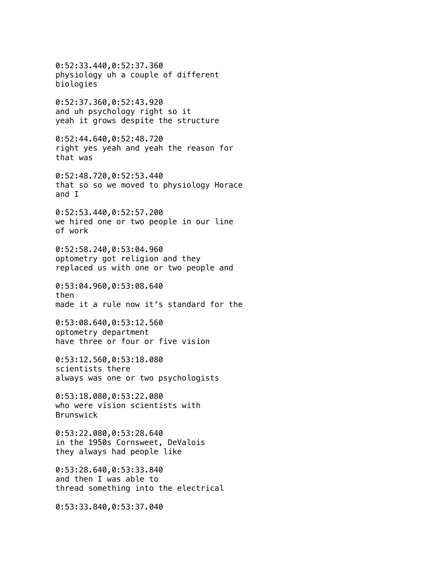0:52:33.440,0:52:37.360 physiology uh a couple of different biologies 0:52:37.360,0:52:43.920 and uh psychology right so it yeah it grows despite the structure 0:52:44.640,0:52:48.720 right yes yeah and yeah the reason for that was 0:52:48.720,0:52:53.440 that so so we moved to physiology Horace and I 0:52:53.440,0:52:57.200 we hired one or two people in our line of work 0:52:58.240,0:53:04.960 optometry got religion and they replaced us with one or two people and 0:53:04.960,0:53:08.640 then made it a rule now it's standard for the 0:53:08.640,0:53:12.560 optometry department have three or four or five vision 0:53:12.560,0:53:18.080 scientists there always was one or two psychologists 0:53:18.080,0:53:22.080 who were vision scientists with Brunswick 0:53:22.080,0:53:28.640 in the 1950s Cornsweet, DeValois they always had people like 0:53:28.640,0:53:33.840 and then I was able to thread something into the electrical

0:53:33.840,0:53:37.040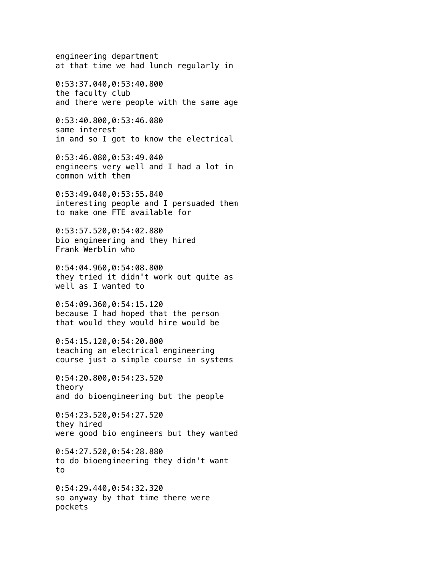engineering department at that time we had lunch regularly in

0:53:37.040,0:53:40.800 the faculty club and there were people with the same age

0:53:40.800,0:53:46.080 same interest in and so I got to know the electrical

0:53:46.080,0:53:49.040 engineers very well and I had a lot in common with them

0:53:49.040,0:53:55.840 interesting people and I persuaded them to make one FTE available for

0:53:57.520,0:54:02.880 bio engineering and they hired Frank Werblin who

0:54:04.960,0:54:08.800 they tried it didn't work out quite as well as I wanted to

0:54:09.360,0:54:15.120 because I had hoped that the person that would they would hire would be

0:54:15.120,0:54:20.800 teaching an electrical engineering course just a simple course in systems

0:54:20.800,0:54:23.520 theory and do bioengineering but the people

0:54:23.520,0:54:27.520 they hired were good bio engineers but they wanted

0:54:27.520,0:54:28.880 to do bioengineering they didn't want to

0:54:29.440,0:54:32.320 so anyway by that time there were pockets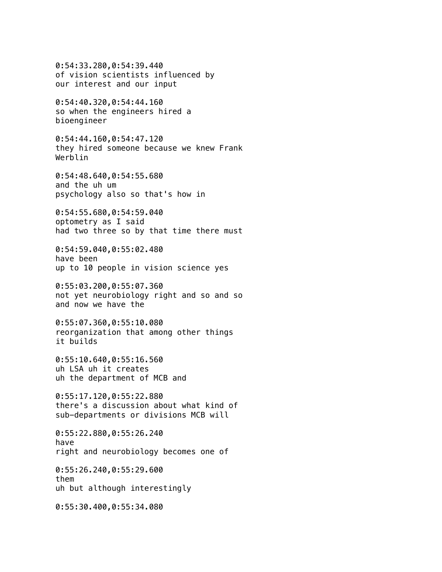0:54:33.280,0:54:39.440 of vision scientists influenced by our interest and our input 0:54:40.320,0:54:44.160 so when the engineers hired a bioengineer 0:54:44.160,0:54:47.120 they hired someone because we knew Frank Werblin 0:54:48.640,0:54:55.680 and the uh um psychology also so that's how in 0:54:55.680,0:54:59.040 optometry as I said had two three so by that time there must 0:54:59.040,0:55:02.480 have been up to 10 people in vision science yes 0:55:03.200,0:55:07.360 not yet neurobiology right and so and so and now we have the 0:55:07.360,0:55:10.080 reorganization that among other things it builds 0:55:10.640,0:55:16.560 uh LSA uh it creates uh the department of MCB and 0:55:17.120,0:55:22.880 there's a discussion about what kind of sub-departments or divisions MCB will 0:55:22.880,0:55:26.240 have right and neurobiology becomes one of 0:55:26.240,0:55:29.600 them uh but although interestingly 0:55:30.400,0:55:34.080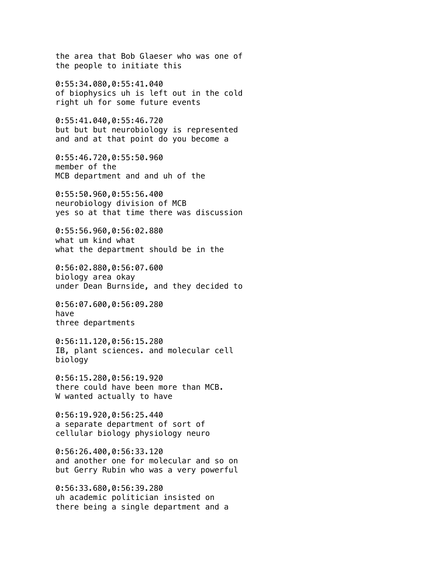the area that Bob Glaeser who was one of the people to initiate this 0:55:34.080,0:55:41.040 of biophysics uh is left out in the cold right uh for some future events 0:55:41.040,0:55:46.720 but but but neurobiology is represented and and at that point do you become a 0:55:46.720,0:55:50.960 member of the MCB department and and uh of the 0:55:50.960,0:55:56.400 neurobiology division of MCB yes so at that time there was discussion 0:55:56.960,0:56:02.880 what um kind what what the department should be in the 0:56:02.880,0:56:07.600 biology area okay under Dean Burnside, and they decided to 0:56:07.600,0:56:09.280 have three departments 0:56:11.120,0:56:15.280 IB, plant sciences. and molecular cell biology 0:56:15.280,0:56:19.920 there could have been more than MCB. W wanted actually to have 0:56:19.920,0:56:25.440 a separate department of sort of cellular biology physiology neuro 0:56:26.400,0:56:33.120 and another one for molecular and so on but Gerry Rubin who was a very powerful 0:56:33.680,0:56:39.280 uh academic politician insisted on there being a single department and a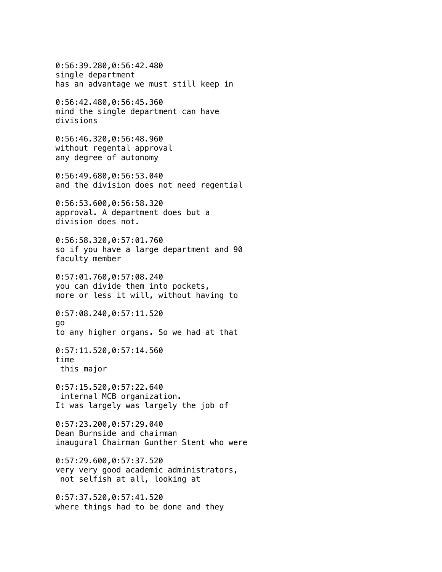0:56:39.280,0:56:42.480 single department has an advantage we must still keep in 0:56:42.480,0:56:45.360 mind the single department can have divisions 0:56:46.320,0:56:48.960 without regental approval any degree of autonomy 0:56:49.680,0:56:53.040 and the division does not need regential 0:56:53.600,0:56:58.320 approval. A department does but a division does not. 0:56:58.320,0:57:01.760 so if you have a large department and 90 faculty member 0:57:01.760,0:57:08.240 you can divide them into pockets, more or less it will, without having to 0:57:08.240,0:57:11.520 go to any higher organs. So we had at that 0:57:11.520,0:57:14.560 time this major 0:57:15.520,0:57:22.640 internal MCB organization. It was largely was largely the job of 0:57:23.200,0:57:29.040 Dean Burnside and chairman inaugural Chairman Gunther Stent who were 0:57:29.600,0:57:37.520 very very good academic administrators, not selfish at all, looking at 0:57:37.520,0:57:41.520 where things had to be done and they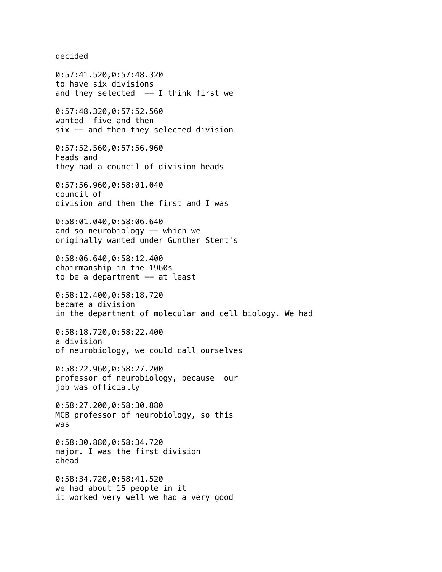decided

0:57:41.520,0:57:48.320 to have six divisions and they selected  $--$  I think first we 0:57:48.320,0:57:52.560 wanted five and then six -- and then they selected division 0:57:52.560,0:57:56.960 heads and they had a council of division heads 0:57:56.960,0:58:01.040 council of division and then the first and I was 0:58:01.040,0:58:06.640 and so neurobiology -- which we originally wanted under Gunther Stent's 0:58:06.640,0:58:12.400 chairmanship in the 1960s to be a department -- at least 0:58:12.400,0:58:18.720 became a division in the department of molecular and cell biology. We had 0:58:18.720,0:58:22.400 a division of neurobiology, we could call ourselves 0:58:22.960,0:58:27.200 professor of neurobiology, because our job was officially 0:58:27.200,0:58:30.880 MCB professor of neurobiology, so this was 0:58:30.880,0:58:34.720 major. I was the first division ahead

0:58:34.720,0:58:41.520 we had about 15 people in it

it worked very well we had a very good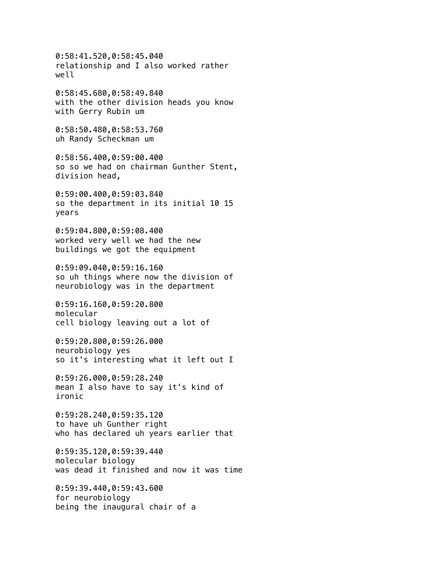0:58:41.520,0:58:45.040 relationship and I also worked rather well 0:58:45.680,0:58:49.840 with the other division heads you know with Gerry Rubin um 0:58:50.480,0:58:53.760 uh Randy Scheckman um 0:58:56.400,0:59:00.400 so so we had on chairman Gunther Stent, division head, 0:59:00.400,0:59:03.840 so the department in its initial 10 15 years 0:59:04.800,0:59:08.400 worked very well we had the new buildings we got the equipment 0:59:09.040,0:59:16.160 so uh things where now the division of neurobiology was in the department 0:59:16.160,0:59:20.800 molecular cell biology leaving out a lot of 0:59:20.800,0:59:26.000 neurobiology yes so it's interesting what it left out I 0:59:26.000,0:59:28.240 mean I also have to say it's kind of ironic 0:59:28.240,0:59:35.120 to have uh Gunther right who has declared uh years earlier that 0:59:35.120,0:59:39.440 molecular biology was dead it finished and now it was time 0:59:39.440,0:59:43.600 for neurobiology being the inaugural chair of a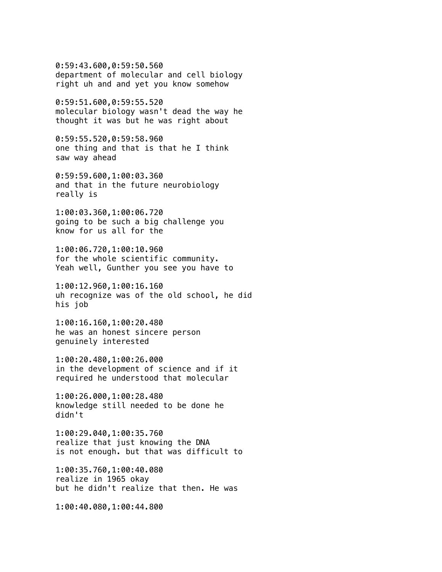0:59:43.600,0:59:50.560 department of molecular and cell biology right uh and and yet you know somehow

0:59:51.600,0:59:55.520 molecular biology wasn't dead the way he thought it was but he was right about

0:59:55.520,0:59:58.960 one thing and that is that he I think saw way ahead

0:59:59.600,1:00:03.360 and that in the future neurobiology really is

1:00:03.360,1:00:06.720 going to be such a big challenge you know for us all for the

1:00:06.720,1:00:10.960 for the whole scientific community. Yeah well, Gunther you see you have to

1:00:12.960,1:00:16.160 uh recognize was of the old school, he did his job

1:00:16.160,1:00:20.480 he was an honest sincere person genuinely interested

1:00:20.480,1:00:26.000 in the development of science and if it required he understood that molecular

1:00:26.000,1:00:28.480 knowledge still needed to be done he didn't

1:00:29.040,1:00:35.760 realize that just knowing the DNA is not enough. but that was difficult to

1:00:35.760,1:00:40.080 realize in 1965 okay but he didn't realize that then. He was

1:00:40.080,1:00:44.800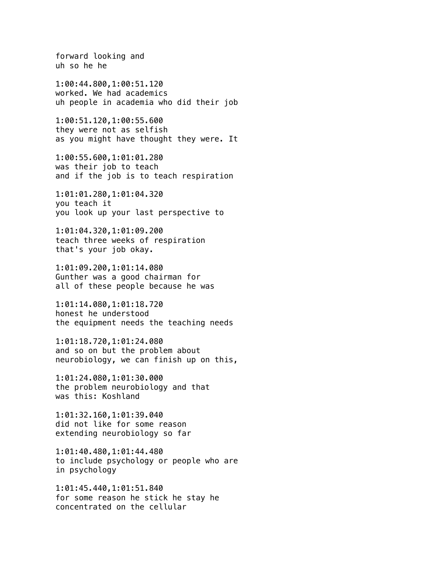forward looking and uh so he he 1:00:44.800,1:00:51.120 worked. We had academics uh people in academia who did their job 1:00:51.120,1:00:55.600 they were not as selfish as you might have thought they were. It 1:00:55.600,1:01:01.280 was their job to teach and if the job is to teach respiration 1:01:01.280,1:01:04.320 you teach it you look up your last perspective to 1:01:04.320,1:01:09.200 teach three weeks of respiration that's your job okay. 1:01:09.200,1:01:14.080 Gunther was a good chairman for all of these people because he was 1:01:14.080,1:01:18.720 honest he understood the equipment needs the teaching needs 1:01:18.720,1:01:24.080 and so on but the problem about neurobiology, we can finish up on this, 1:01:24.080,1:01:30.000 the problem neurobiology and that was this: Koshland 1:01:32.160,1:01:39.040 did not like for some reason extending neurobiology so far 1:01:40.480,1:01:44.480 to include psychology or people who are in psychology 1:01:45.440,1:01:51.840

for some reason he stick he stay he concentrated on the cellular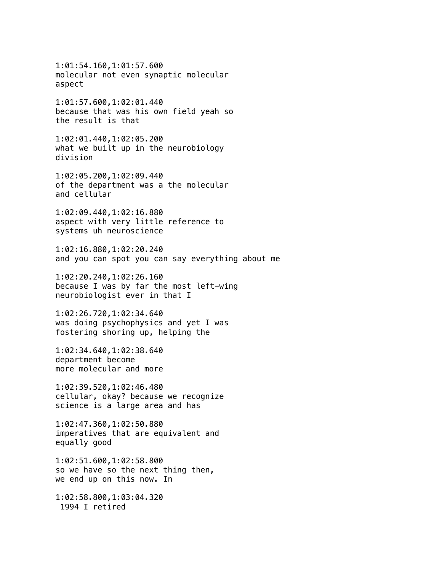1:01:54.160,1:01:57.600 molecular not even synaptic molecular aspect

1:01:57.600,1:02:01.440 because that was his own field yeah so the result is that

1:02:01.440,1:02:05.200 what we built up in the neurobiology division

1:02:05.200,1:02:09.440 of the department was a the molecular and cellular

1:02:09.440,1:02:16.880 aspect with very little reference to systems uh neuroscience

1:02:16.880,1:02:20.240 and you can spot you can say everything about me

1:02:20.240,1:02:26.160 because I was by far the most left-wing neurobiologist ever in that I

1:02:26.720,1:02:34.640 was doing psychophysics and yet I was fostering shoring up, helping the

1:02:34.640,1:02:38.640 department become more molecular and more

1:02:39.520,1:02:46.480 cellular, okay? because we recognize science is a large area and has

1:02:47.360,1:02:50.880 imperatives that are equivalent and equally good

1:02:51.600,1:02:58.800 so we have so the next thing then, we end up on this now. In

1:02:58.800,1:03:04.320 1994 I retired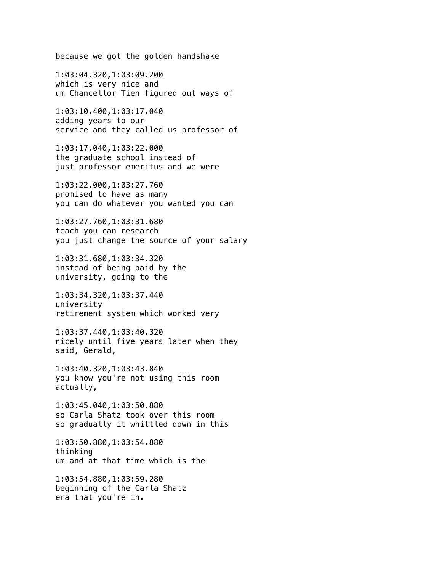because we got the golden handshake

1:03:04.320,1:03:09.200 which is very nice and um Chancellor Tien figured out ways of

1:03:10.400,1:03:17.040 adding years to our service and they called us professor of

1:03:17.040,1:03:22.000 the graduate school instead of just professor emeritus and we were

1:03:22.000,1:03:27.760 promised to have as many you can do whatever you wanted you can

1:03:27.760,1:03:31.680 teach you can research you just change the source of your salary

1:03:31.680,1:03:34.320 instead of being paid by the university, going to the

1:03:34.320,1:03:37.440 university retirement system which worked very

1:03:37.440,1:03:40.320 nicely until five years later when they said, Gerald,

1:03:40.320,1:03:43.840 you know you're not using this room actually,

1:03:45.040,1:03:50.880 so Carla Shatz took over this room so gradually it whittled down in this

1:03:50.880,1:03:54.880 thinking um and at that time which is the

1:03:54.880,1:03:59.280 beginning of the Carla Shatz era that you're in.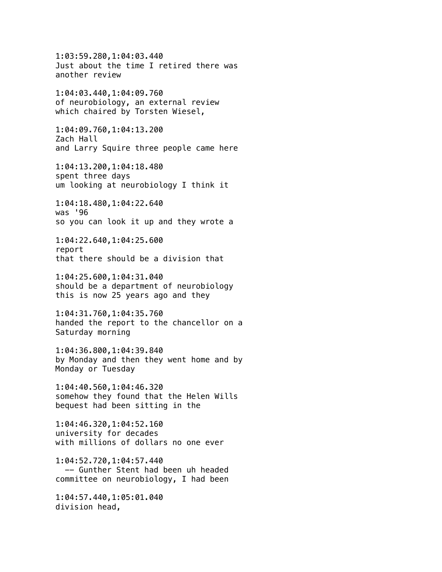1:03:59.280,1:04:03.440 Just about the time I retired there was another review 1:04:03.440,1:04:09.760 of neurobiology, an external review which chaired by Torsten Wiesel, 1:04:09.760,1:04:13.200 Zach Hall and Larry Squire three people came here 1:04:13.200,1:04:18.480 spent three days um looking at neurobiology I think it 1:04:18.480,1:04:22.640 was '96 so you can look it up and they wrote a 1:04:22.640,1:04:25.600 report that there should be a division that 1:04:25.600,1:04:31.040 should be a department of neurobiology this is now 25 years ago and they 1:04:31.760,1:04:35.760 handed the report to the chancellor on a Saturday morning 1:04:36.800,1:04:39.840 by Monday and then they went home and by Monday or Tuesday 1:04:40.560,1:04:46.320 somehow they found that the Helen Wills bequest had been sitting in the 1:04:46.320,1:04:52.160 university for decades with millions of dollars no one ever 1:04:52.720,1:04:57.440 -- Gunther Stent had been uh headed committee on neurobiology, I had been 1:04:57.440,1:05:01.040 division head,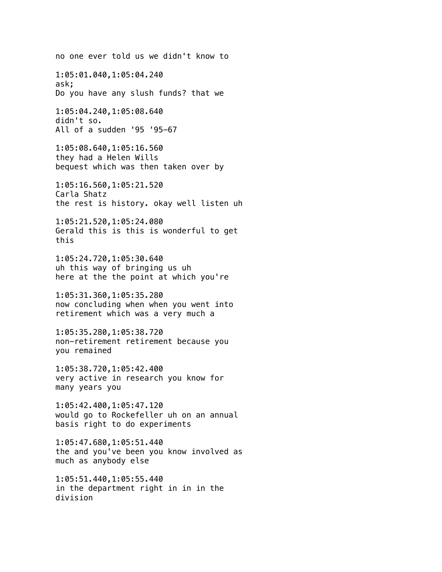no one ever told us we didn't know to 1:05:01.040,1:05:04.240 ask; Do you have any slush funds? that we 1:05:04.240,1:05:08.640 didn't so. All of a sudden '95 '95-67 1:05:08.640,1:05:16.560 they had a Helen Wills bequest which was then taken over by 1:05:16.560,1:05:21.520 Carla Shatz the rest is history. okay well listen uh 1:05:21.520,1:05:24.080 Gerald this is this is wonderful to get this 1:05:24.720,1:05:30.640 uh this way of bringing us uh here at the the point at which you're 1:05:31.360,1:05:35.280 now concluding when when you went into retirement which was a very much a 1:05:35.280,1:05:38.720 non-retirement retirement because you you remained 1:05:38.720,1:05:42.400 very active in research you know for many years you 1:05:42.400,1:05:47.120 would go to Rockefeller uh on an annual basis right to do experiments 1:05:47.680,1:05:51.440 the and you've been you know involved as much as anybody else 1:05:51.440,1:05:55.440 in the department right in in in the division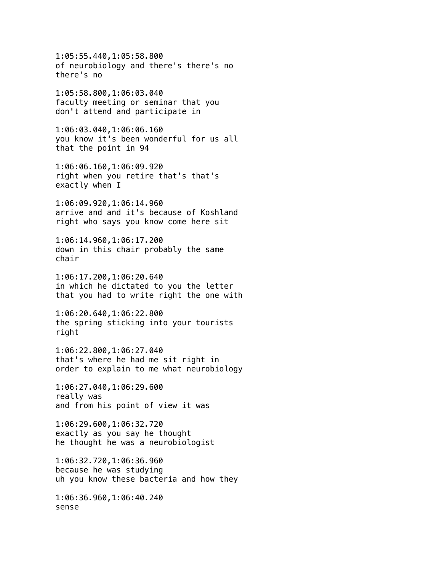1:05:55.440,1:05:58.800 of neurobiology and there's there's no there's no 1:05:58.800,1:06:03.040 faculty meeting or seminar that you don't attend and participate in 1:06:03.040,1:06:06.160 you know it's been wonderful for us all that the point in 94 1:06:06.160,1:06:09.920 right when you retire that's that's exactly when I 1:06:09.920,1:06:14.960 arrive and and it's because of Koshland right who says you know come here sit 1:06:14.960,1:06:17.200 down in this chair probably the same chair 1:06:17.200,1:06:20.640 in which he dictated to you the letter that you had to write right the one with 1:06:20.640,1:06:22.800 the spring sticking into your tourists right 1:06:22.800,1:06:27.040 that's where he had me sit right in order to explain to me what neurobiology 1:06:27.040,1:06:29.600 really was and from his point of view it was 1:06:29.600,1:06:32.720 exactly as you say he thought he thought he was a neurobiologist 1:06:32.720,1:06:36.960 because he was studying uh you know these bacteria and how they 1:06:36.960,1:06:40.240 sense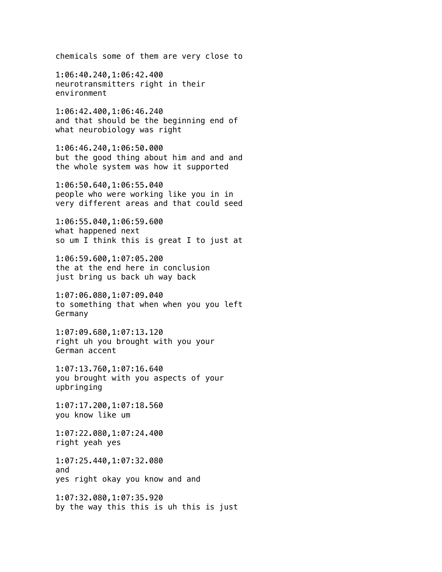chemicals some of them are very close to

1:06:40.240,1:06:42.400 neurotransmitters right in their environment

1:06:42.400,1:06:46.240 and that should be the beginning end of what neurobiology was right

1:06:46.240,1:06:50.000 but the good thing about him and and and the whole system was how it supported

1:06:50.640,1:06:55.040 people who were working like you in in very different areas and that could seed

1:06:55.040,1:06:59.600 what happened next so um I think this is great I to just at

1:06:59.600,1:07:05.200 the at the end here in conclusion just bring us back uh way back

1:07:06.080,1:07:09.040 to something that when when you you left Germany

1:07:09.680,1:07:13.120 right uh you brought with you your German accent

1:07:13.760,1:07:16.640 you brought with you aspects of your upbringing

1:07:17.200,1:07:18.560 you know like um

1:07:22.080,1:07:24.400 right yeah yes

1:07:25.440,1:07:32.080 and yes right okay you know and and

1:07:32.080,1:07:35.920 by the way this this is uh this is just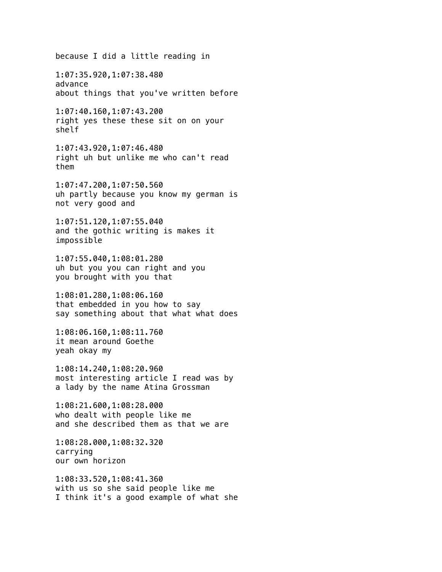because I did a little reading in 1:07:35.920,1:07:38.480 advance about things that you've written before 1:07:40.160,1:07:43.200 right yes these these sit on on your shelf 1:07:43.920,1:07:46.480 right uh but unlike me who can't read them 1:07:47.200,1:07:50.560 uh partly because you know my german is not very good and 1:07:51.120,1:07:55.040 and the gothic writing is makes it impossible 1:07:55.040,1:08:01.280 uh but you you can right and you you brought with you that 1:08:01.280,1:08:06.160 that embedded in you how to say say something about that what what does 1:08:06.160,1:08:11.760 it mean around Goethe yeah okay my 1:08:14.240,1:08:20.960 most interesting article I read was by a lady by the name Atina Grossman 1:08:21.600,1:08:28.000 who dealt with people like me and she described them as that we are 1:08:28.000,1:08:32.320 carrying our own horizon 1:08:33.520,1:08:41.360 with us so she said people like me I think it's a good example of what she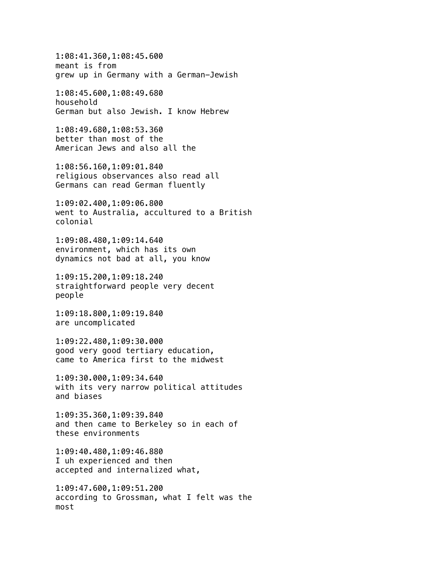1:08:41.360,1:08:45.600 meant is from grew up in Germany with a German-Jewish

1:08:45.600,1:08:49.680 household German but also Jewish. I know Hebrew

1:08:49.680,1:08:53.360 better than most of the American Jews and also all the

1:08:56.160,1:09:01.840 religious observances also read all Germans can read German fluently

1:09:02.400,1:09:06.800 went to Australia, accultured to a British colonial

1:09:08.480,1:09:14.640 environment, which has its own dynamics not bad at all, you know

1:09:15.200,1:09:18.240 straightforward people very decent people

1:09:18.800,1:09:19.840 are uncomplicated

1:09:22.480,1:09:30.000 good very good tertiary education, came to America first to the midwest

1:09:30.000,1:09:34.640 with its very narrow political attitudes and biases

1:09:35.360,1:09:39.840 and then came to Berkeley so in each of these environments

1:09:40.480,1:09:46.880 I uh experienced and then accepted and internalized what,

1:09:47.600,1:09:51.200 according to Grossman, what I felt was the most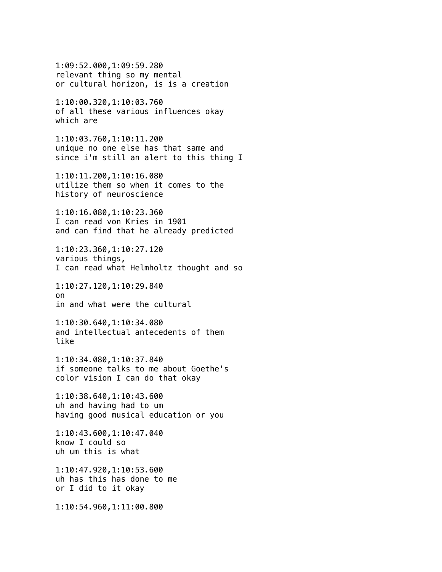1:09:52.000,1:09:59.280 relevant thing so my mental or cultural horizon, is is a creation

1:10:00.320,1:10:03.760 of all these various influences okay which are

1:10:03.760,1:10:11.200 unique no one else has that same and since i'm still an alert to this thing I

1:10:11.200,1:10:16.080 utilize them so when it comes to the history of neuroscience

1:10:16.080,1:10:23.360 I can read von Kries in 1901 and can find that he already predicted

1:10:23.360,1:10:27.120 various things, I can read what Helmholtz thought and so

1:10:27.120,1:10:29.840 on in and what were the cultural

1:10:30.640,1:10:34.080 and intellectual antecedents of them like

1:10:34.080,1:10:37.840 if someone talks to me about Goethe's color vision I can do that okay

1:10:38.640,1:10:43.600 uh and having had to um having good musical education or you

1:10:43.600,1:10:47.040 know I could so uh um this is what

1:10:47.920,1:10:53.600 uh has this has done to me or I did to it okay

1:10:54.960,1:11:00.800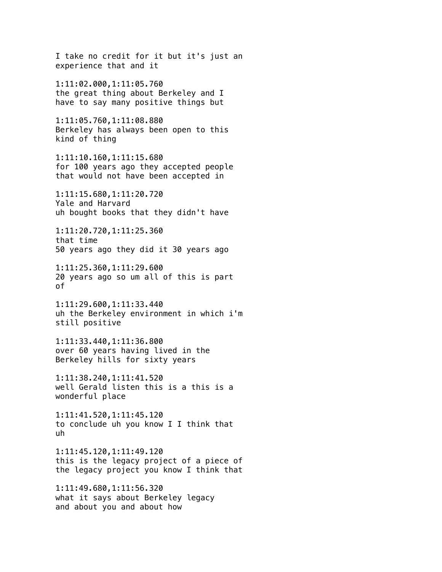I take no credit for it but it's just an experience that and it 1:11:02.000,1:11:05.760 the great thing about Berkeley and I have to say many positive things but 1:11:05.760,1:11:08.880 Berkeley has always been open to this kind of thing 1:11:10.160,1:11:15.680 for 100 years ago they accepted people that would not have been accepted in 1:11:15.680,1:11:20.720 Yale and Harvard uh bought books that they didn't have 1:11:20.720,1:11:25.360 that time 50 years ago they did it 30 years ago 1:11:25.360,1:11:29.600 20 years ago so um all of this is part of 1:11:29.600,1:11:33.440 uh the Berkeley environment in which i'm still positive 1:11:33.440,1:11:36.800 over 60 years having lived in the Berkeley hills for sixty years 1:11:38.240,1:11:41.520 well Gerald listen this is a this is a wonderful place 1:11:41.520,1:11:45.120 to conclude uh you know I I think that uh 1:11:45.120,1:11:49.120 this is the legacy project of a piece of the legacy project you know I think that 1:11:49.680,1:11:56.320 what it says about Berkeley legacy and about you and about how